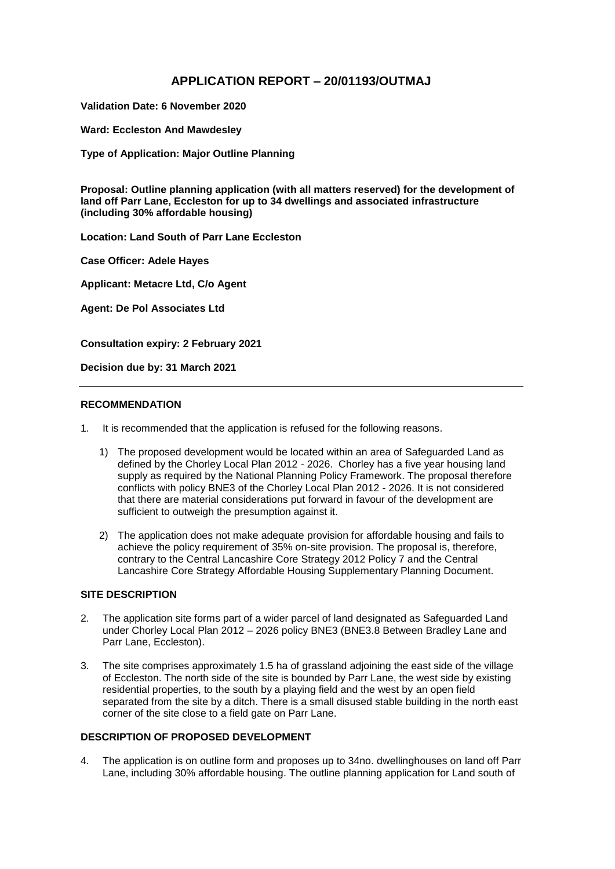# **APPLICATION REPORT – 20/01193/OUTMAJ**

**Validation Date: 6 November 2020**

**Ward: Eccleston And Mawdesley**

**Type of Application: Major Outline Planning**

**Proposal: Outline planning application (with all matters reserved) for the development of land off Parr Lane, Eccleston for up to 34 dwellings and associated infrastructure (including 30% affordable housing)**

**Location: Land South of Parr Lane Eccleston** 

**Case Officer: Adele Hayes**

**Applicant: Metacre Ltd, C/o Agent**

**Agent: De Pol Associates Ltd**

**Consultation expiry: 2 February 2021**

**Decision due by: 31 March 2021**

## **RECOMMENDATION**

- 1. It is recommended that the application is refused for the following reasons.
	- 1) The proposed development would be located within an area of Safeguarded Land as defined by the Chorley Local Plan 2012 - 2026. Chorley has a five year housing land supply as required by the National Planning Policy Framework. The proposal therefore conflicts with policy BNE3 of the Chorley Local Plan 2012 - 2026. It is not considered that there are material considerations put forward in favour of the development are sufficient to outweigh the presumption against it.
	- 2) The application does not make adequate provision for affordable housing and fails to achieve the policy requirement of 35% on-site provision. The proposal is, therefore, contrary to the Central Lancashire Core Strategy 2012 Policy 7 and the Central Lancashire Core Strategy Affordable Housing Supplementary Planning Document.

## **SITE DESCRIPTION**

- 2. The application site forms part of a wider parcel of land designated as Safeguarded Land under Chorley Local Plan 2012 – 2026 policy BNE3 (BNE3.8 Between Bradley Lane and Parr Lane, Eccleston).
- 3. The site comprises approximately 1.5 ha of grassland adjoining the east side of the village of Eccleston. The north side of the site is bounded by Parr Lane, the west side by existing residential properties, to the south by a playing field and the west by an open field separated from the site by a ditch. There is a small disused stable building in the north east corner of the site close to a field gate on Parr Lane.

## **DESCRIPTION OF PROPOSED DEVELOPMENT**

4. The application is on outline form and proposes up to 34no. dwellinghouses on land off Parr Lane, including 30% affordable housing. The outline planning application for Land south of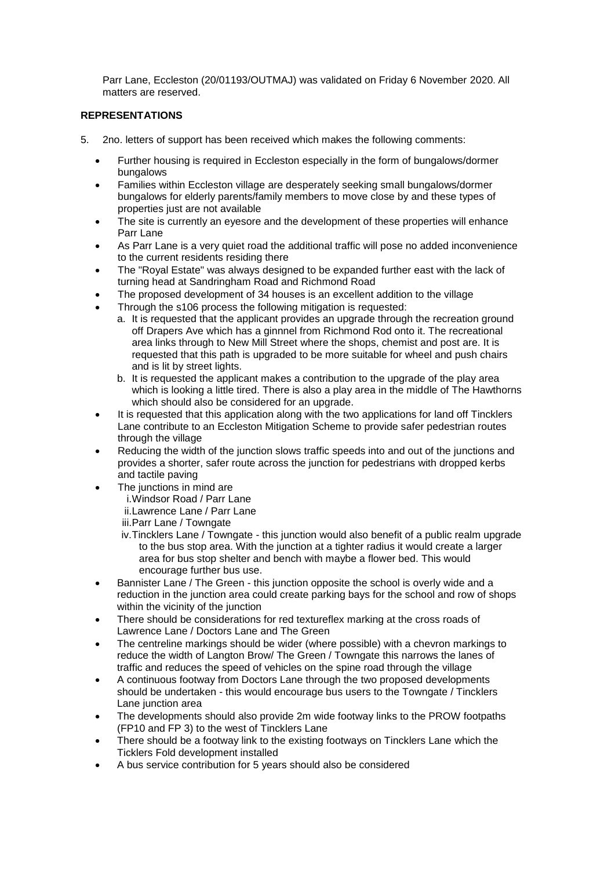Parr Lane, Eccleston (20/01193/OUTMAJ) was validated on Friday 6 November 2020. All matters are reserved.

## **REPRESENTATIONS**

- 5. 2no. letters of support has been received which makes the following comments:
	- Further housing is required in Eccleston especially in the form of bungalows/dormer bungalows
	- Families within Eccleston village are desperately seeking small bungalows/dormer bungalows for elderly parents/family members to move close by and these types of properties just are not available
	- The site is currently an eyesore and the development of these properties will enhance Parr Lane
	- As Parr Lane is a very quiet road the additional traffic will pose no added inconvenience to the current residents residing there
	- The "Royal Estate" was always designed to be expanded further east with the lack of turning head at Sandringham Road and Richmond Road
	- The proposed development of 34 houses is an excellent addition to the village
	- Through the s106 process the following mitigation is requested:
		- a. It is requested that the applicant provides an upgrade through the recreation ground off Drapers Ave which has a ginnnel from Richmond Rod onto it. The recreational area links through to New Mill Street where the shops, chemist and post are. It is requested that this path is upgraded to be more suitable for wheel and push chairs and is lit by street lights.
		- b. It is requested the applicant makes a contribution to the upgrade of the play area which is looking a little tired. There is also a play area in the middle of The Hawthorns which should also be considered for an upgrade.
	- It is requested that this application along with the two applications for land off Tincklers Lane contribute to an Eccleston Mitigation Scheme to provide safer pedestrian routes through the village
	- Reducing the width of the junction slows traffic speeds into and out of the junctions and provides a shorter, safer route across the junction for pedestrians with dropped kerbs and tactile paving
	- The junctions in mind are
		- i.Windsor Road / Parr Lane
		- ii.Lawrence Lane / Parr Lane
		- iii.Parr Lane / Towngate
		- iv.Tincklers Lane / Towngate this junction would also benefit of a public realm upgrade to the bus stop area. With the junction at a tighter radius it would create a larger area for bus stop shelter and bench with maybe a flower bed. This would encourage further bus use.
	- Bannister Lane / The Green this junction opposite the school is overly wide and a reduction in the junction area could create parking bays for the school and row of shops within the vicinity of the junction
	- There should be considerations for red textureflex marking at the cross roads of Lawrence Lane / Doctors Lane and The Green
	- The centreline markings should be wider (where possible) with a chevron markings to reduce the width of Langton Brow/ The Green / Towngate this narrows the lanes of traffic and reduces the speed of vehicles on the spine road through the village
	- A continuous footway from Doctors Lane through the two proposed developments should be undertaken - this would encourage bus users to the Towngate / Tincklers Lane junction area
	- The developments should also provide 2m wide footway links to the PROW footpaths (FP10 and FP 3) to the west of Tincklers Lane
	- There should be a footway link to the existing footways on Tincklers Lane which the Ticklers Fold development installed
	- A bus service contribution for 5 years should also be considered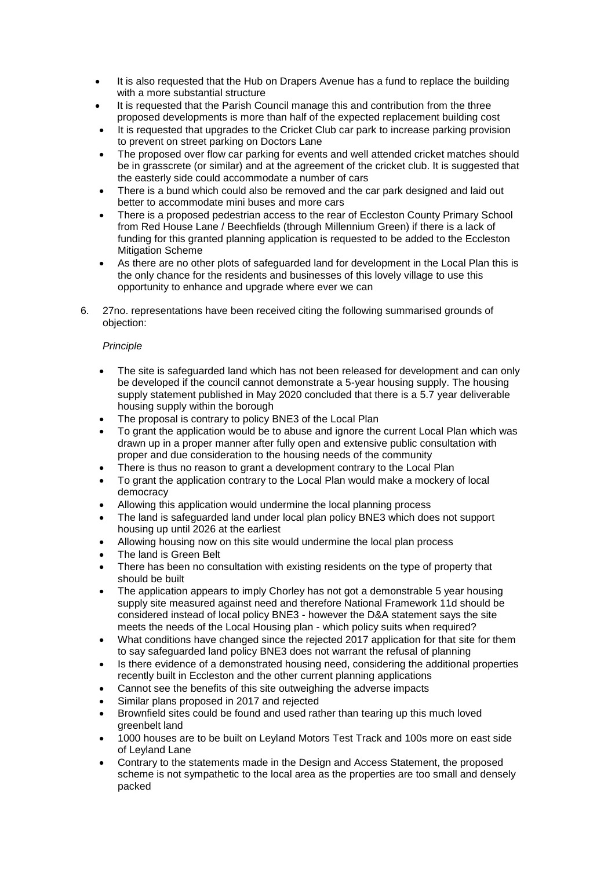- It is also requested that the Hub on Drapers Avenue has a fund to replace the building with a more substantial structure
- It is requested that the Parish Council manage this and contribution from the three proposed developments is more than half of the expected replacement building cost
- It is requested that upgrades to the Cricket Club car park to increase parking provision to prevent on street parking on Doctors Lane
- The proposed over flow car parking for events and well attended cricket matches should be in grasscrete (or similar) and at the agreement of the cricket club. It is suggested that the easterly side could accommodate a number of cars
- There is a bund which could also be removed and the car park designed and laid out better to accommodate mini buses and more cars
- There is a proposed pedestrian access to the rear of Eccleston County Primary School from Red House Lane / Beechfields (through Millennium Green) if there is a lack of funding for this granted planning application is requested to be added to the Eccleston Mitigation Scheme
- As there are no other plots of safeguarded land for development in the Local Plan this is the only chance for the residents and businesses of this lovely village to use this opportunity to enhance and upgrade where ever we can
- 6. 27no. representations have been received citing the following summarised grounds of objection:

## *Principle*

- The site is safeguarded land which has not been released for development and can only be developed if the council cannot demonstrate a 5-year housing supply. The housing supply statement published in May 2020 concluded that there is a 5.7 year deliverable housing supply within the borough
- The proposal is contrary to policy BNE3 of the Local Plan
- To grant the application would be to abuse and ignore the current Local Plan which was drawn up in a proper manner after fully open and extensive public consultation with proper and due consideration to the housing needs of the community
- There is thus no reason to grant a development contrary to the Local Plan
- To grant the application contrary to the Local Plan would make a mockery of local democracy
- Allowing this application would undermine the local planning process
- The land is safeguarded land under local plan policy BNE3 which does not support housing up until 2026 at the earliest
- Allowing housing now on this site would undermine the local plan process
- The land is Green Belt
- There has been no consultation with existing residents on the type of property that should be built
- The application appears to imply Chorley has not got a demonstrable 5 year housing supply site measured against need and therefore National Framework 11d should be considered instead of local policy BNE3 - however the D&A statement says the site meets the needs of the Local Housing plan - which policy suits when required?
- What conditions have changed since the rejected 2017 application for that site for them to say safeguarded land policy BNE3 does not warrant the refusal of planning
- Is there evidence of a demonstrated housing need, considering the additional properties recently built in Eccleston and the other current planning applications
- Cannot see the benefits of this site outweighing the adverse impacts
- Similar plans proposed in 2017 and rejected
- Brownfield sites could be found and used rather than tearing up this much loved greenbelt land
- 1000 houses are to be built on Leyland Motors Test Track and 100s more on east side of Leyland Lane
- Contrary to the statements made in the Design and Access Statement, the proposed scheme is not sympathetic to the local area as the properties are too small and densely packed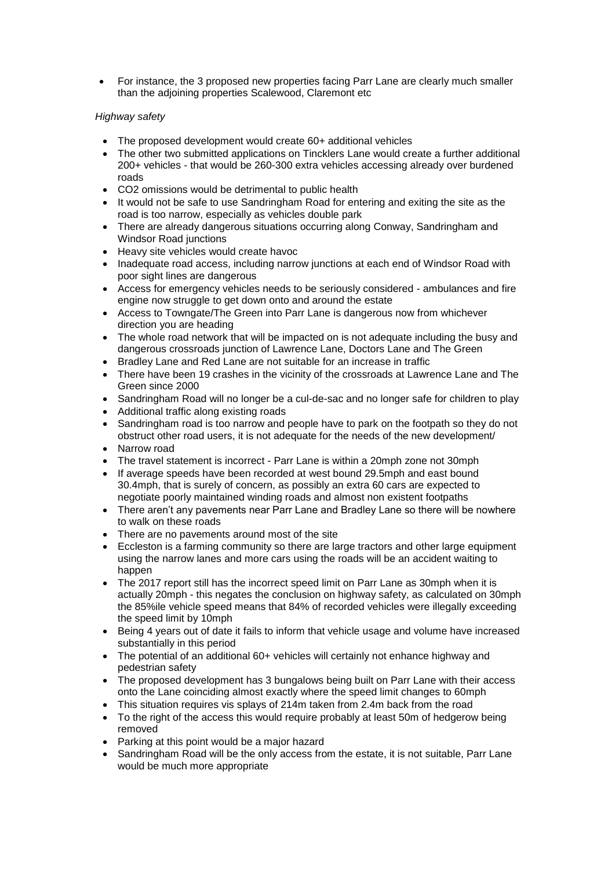For instance, the 3 proposed new properties facing Parr Lane are clearly much smaller than the adjoining properties Scalewood, Claremont etc

## *Highway safety*

- The proposed development would create 60+ additional vehicles
- The other two submitted applications on Tincklers Lane would create a further additional 200+ vehicles - that would be 260-300 extra vehicles accessing already over burdened roads
- CO2 omissions would be detrimental to public health
- It would not be safe to use Sandringham Road for entering and exiting the site as the road is too narrow, especially as vehicles double park
- There are already dangerous situations occurring along Conway, Sandringham and Windsor Road junctions
- Heavy site vehicles would create havoc
- Inadequate road access, including narrow junctions at each end of Windsor Road with poor sight lines are dangerous
- Access for emergency vehicles needs to be seriously considered ambulances and fire engine now struggle to get down onto and around the estate
- Access to Towngate/The Green into Parr Lane is dangerous now from whichever direction you are heading
- The whole road network that will be impacted on is not adequate including the busy and dangerous crossroads junction of Lawrence Lane, Doctors Lane and The Green
- Bradley Lane and Red Lane are not suitable for an increase in traffic
- There have been 19 crashes in the vicinity of the crossroads at Lawrence Lane and The Green since 2000
- Sandringham Road will no longer be a cul-de-sac and no longer safe for children to play
- Additional traffic along existing roads
- Sandringham road is too narrow and people have to park on the footpath so they do not obstruct other road users, it is not adequate for the needs of the new development/
- Narrow road
- The travel statement is incorrect Parr Lane is within a 20mph zone not 30mph
- If average speeds have been recorded at west bound 29.5mph and east bound 30.4mph, that is surely of concern, as possibly an extra 60 cars are expected to negotiate poorly maintained winding roads and almost non existent footpaths
- There aren't any pavements near Parr Lane and Bradley Lane so there will be nowhere to walk on these roads
- There are no pavements around most of the site
- Eccleston is a farming community so there are large tractors and other large equipment using the narrow lanes and more cars using the roads will be an accident waiting to happen
- The 2017 report still has the incorrect speed limit on Parr Lane as 30mph when it is actually 20mph - this negates the conclusion on highway safety, as calculated on 30mph the 85%ile vehicle speed means that 84% of recorded vehicles were illegally exceeding the speed limit by 10mph
- Being 4 years out of date it fails to inform that vehicle usage and volume have increased substantially in this period
- The potential of an additional 60+ vehicles will certainly not enhance highway and pedestrian safety
- The proposed development has 3 bungalows being built on Parr Lane with their access onto the Lane coinciding almost exactly where the speed limit changes to 60mph
- This situation requires vis splays of 214m taken from 2.4m back from the road
- To the right of the access this would require probably at least 50m of hedgerow being removed
- Parking at this point would be a major hazard
- Sandringham Road will be the only access from the estate, it is not suitable, Parr Lane would be much more appropriate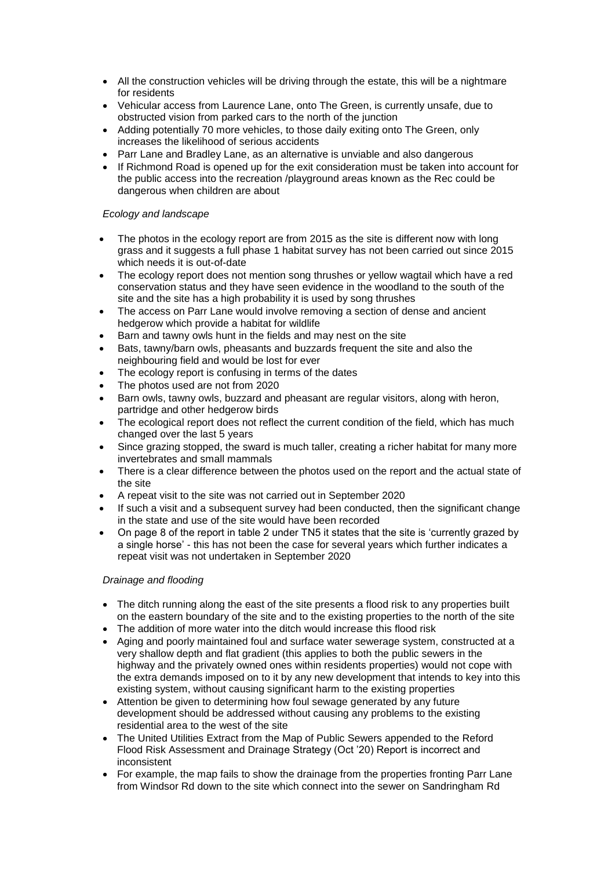- All the construction vehicles will be driving through the estate, this will be a nightmare for residents
- Vehicular access from Laurence Lane, onto The Green, is currently unsafe, due to obstructed vision from parked cars to the north of the junction
- Adding potentially 70 more vehicles, to those daily exiting onto The Green, only increases the likelihood of serious accidents
- Parr Lane and Bradley Lane, as an alternative is unviable and also dangerous
- If Richmond Road is opened up for the exit consideration must be taken into account for the public access into the recreation /playground areas known as the Rec could be dangerous when children are about

### *Ecology and landscape*

- The photos in the ecology report are from 2015 as the site is different now with long grass and it suggests a full phase 1 habitat survey has not been carried out since 2015 which needs it is out-of-date
- The ecology report does not mention song thrushes or yellow wagtail which have a red conservation status and they have seen evidence in the woodland to the south of the site and the site has a high probability it is used by song thrushes
- The access on Parr Lane would involve removing a section of dense and ancient hedgerow which provide a habitat for wildlife
- Barn and tawny owls hunt in the fields and may nest on the site
- Bats, tawny/barn owls, pheasants and buzzards frequent the site and also the neighbouring field and would be lost for ever
- The ecology report is confusing in terms of the dates
- The photos used are not from 2020
- Barn owls, tawny owls, buzzard and pheasant are regular visitors, along with heron, partridge and other hedgerow birds
- The ecological report does not reflect the current condition of the field, which has much changed over the last 5 years
- Since grazing stopped, the sward is much taller, creating a richer habitat for many more invertebrates and small mammals
- There is a clear difference between the photos used on the report and the actual state of the site
- A repeat visit to the site was not carried out in September 2020
- If such a visit and a subsequent survey had been conducted, then the significant change in the state and use of the site would have been recorded
- On page 8 of the report in table 2 under TN5 it states that the site is 'currently grazed by a single horse' - this has not been the case for several years which further indicates a repeat visit was not undertaken in September 2020

### *Drainage and flooding*

- The ditch running along the east of the site presents a flood risk to any properties built on the eastern boundary of the site and to the existing properties to the north of the site
- The addition of more water into the ditch would increase this flood risk
- Aging and poorly maintained foul and surface water sewerage system, constructed at a very shallow depth and flat gradient (this applies to both the public sewers in the highway and the privately owned ones within residents properties) would not cope with the extra demands imposed on to it by any new development that intends to key into this existing system, without causing significant harm to the existing properties
- Attention be given to determining how foul sewage generated by any future development should be addressed without causing any problems to the existing residential area to the west of the site
- The United Utilities Extract from the Map of Public Sewers appended to the Reford Flood Risk Assessment and Drainage Strategy (Oct '20) Report is incorrect and inconsistent
- For example, the map fails to show the drainage from the properties fronting Parr Lane from Windsor Rd down to the site which connect into the sewer on Sandringham Rd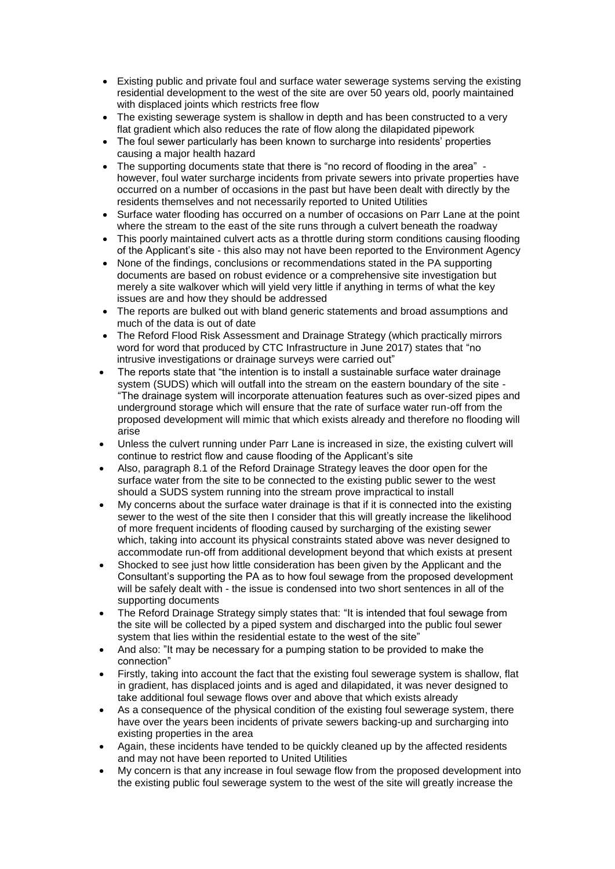- Existing public and private foul and surface water sewerage systems serving the existing residential development to the west of the site are over 50 years old, poorly maintained with displaced joints which restricts free flow
- The existing sewerage system is shallow in depth and has been constructed to a very flat gradient which also reduces the rate of flow along the dilapidated pipework
- The foul sewer particularly has been known to surcharge into residents' properties causing a major health hazard
- The supporting documents state that there is "no record of flooding in the area" however, foul water surcharge incidents from private sewers into private properties have occurred on a number of occasions in the past but have been dealt with directly by the residents themselves and not necessarily reported to United Utilities
- Surface water flooding has occurred on a number of occasions on Parr Lane at the point where the stream to the east of the site runs through a culvert beneath the roadway
- This poorly maintained culvert acts as a throttle during storm conditions causing flooding of the Applicant's site - this also may not have been reported to the Environment Agency
- None of the findings, conclusions or recommendations stated in the PA supporting documents are based on robust evidence or a comprehensive site investigation but merely a site walkover which will yield very little if anything in terms of what the key issues are and how they should be addressed
- The reports are bulked out with bland generic statements and broad assumptions and much of the data is out of date
- The Reford Flood Risk Assessment and Drainage Strategy (which practically mirrors word for word that produced by CTC Infrastructure in June 2017) states that "no intrusive investigations or drainage surveys were carried out"
- The reports state that "the intention is to install a sustainable surface water drainage system (SUDS) which will outfall into the stream on the eastern boundary of the site - "The drainage system will incorporate attenuation features such as over-sized pipes and underground storage which will ensure that the rate of surface water run-off from the proposed development will mimic that which exists already and therefore no flooding will arise
- Unless the culvert running under Parr Lane is increased in size, the existing culvert will continue to restrict flow and cause flooding of the Applicant's site
- Also, paragraph 8.1 of the Reford Drainage Strategy leaves the door open for the surface water from the site to be connected to the existing public sewer to the west should a SUDS system running into the stream prove impractical to install
- My concerns about the surface water drainage is that if it is connected into the existing sewer to the west of the site then I consider that this will greatly increase the likelihood of more frequent incidents of flooding caused by surcharging of the existing sewer which, taking into account its physical constraints stated above was never designed to accommodate run-off from additional development beyond that which exists at present
- Shocked to see just how little consideration has been given by the Applicant and the Consultant's supporting the PA as to how foul sewage from the proposed development will be safely dealt with - the issue is condensed into two short sentences in all of the supporting documents
- The Reford Drainage Strategy simply states that: "It is intended that foul sewage from the site will be collected by a piped system and discharged into the public foul sewer system that lies within the residential estate to the west of the site"
- And also: "It may be necessary for a pumping station to be provided to make the connection"
- Firstly, taking into account the fact that the existing foul sewerage system is shallow, flat in gradient, has displaced joints and is aged and dilapidated, it was never designed to take additional foul sewage flows over and above that which exists already
- As a consequence of the physical condition of the existing foul sewerage system, there have over the years been incidents of private sewers backing-up and surcharging into existing properties in the area
- Again, these incidents have tended to be quickly cleaned up by the affected residents and may not have been reported to United Utilities
- My concern is that any increase in foul sewage flow from the proposed development into the existing public foul sewerage system to the west of the site will greatly increase the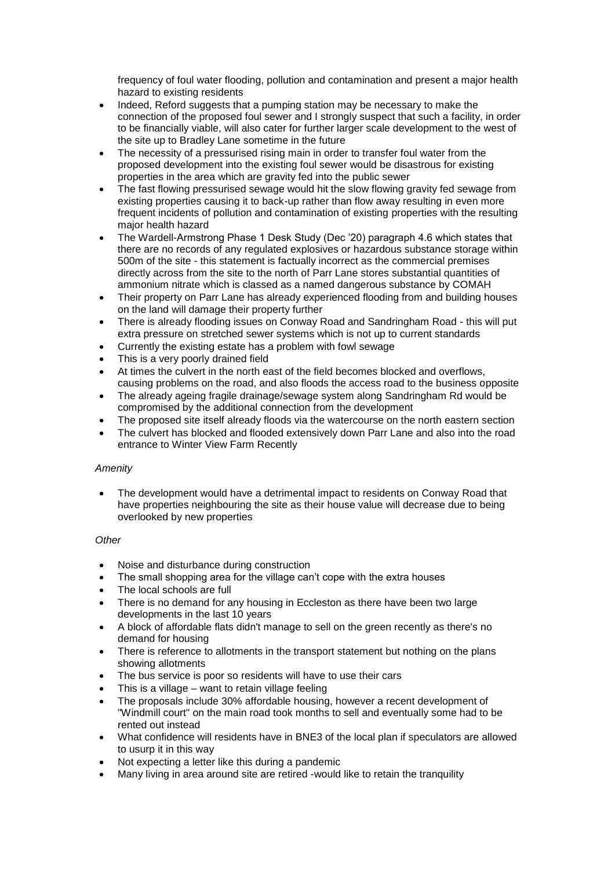frequency of foul water flooding, pollution and contamination and present a major health hazard to existing residents

- Indeed, Reford suggests that a pumping station may be necessary to make the connection of the proposed foul sewer and I strongly suspect that such a facility, in order to be financially viable, will also cater for further larger scale development to the west of the site up to Bradley Lane sometime in the future
- The necessity of a pressurised rising main in order to transfer foul water from the proposed development into the existing foul sewer would be disastrous for existing properties in the area which are gravity fed into the public sewer
- The fast flowing pressurised sewage would hit the slow flowing gravity fed sewage from existing properties causing it to back-up rather than flow away resulting in even more frequent incidents of pollution and contamination of existing properties with the resulting major health hazard
- The Wardell-Armstrong Phase 1 Desk Study (Dec '20) paragraph 4.6 which states that there are no records of any regulated explosives or hazardous substance storage within 500m of the site - this statement is factually incorrect as the commercial premises directly across from the site to the north of Parr Lane stores substantial quantities of ammonium nitrate which is classed as a named dangerous substance by COMAH
- Their property on Parr Lane has already experienced flooding from and building houses on the land will damage their property further
- There is already flooding issues on Conway Road and Sandringham Road this will put extra pressure on stretched sewer systems which is not up to current standards
- Currently the existing estate has a problem with fowl sewage
- This is a very poorly drained field
- At times the culvert in the north east of the field becomes blocked and overflows, causing problems on the road, and also floods the access road to the business opposite
- The already ageing fragile drainage/sewage system along Sandringham Rd would be compromised by the additional connection from the development
- The proposed site itself already floods via the watercourse on the north eastern section
- The culvert has blocked and flooded extensively down Parr Lane and also into the road entrance to Winter View Farm Recently

## *Amenity*

 The development would have a detrimental impact to residents on Conway Road that have properties neighbouring the site as their house value will decrease due to being overlooked by new properties

## *Other*

- Noise and disturbance during construction
- The small shopping area for the village can't cope with the extra houses
- The local schools are full
- There is no demand for any housing in Eccleston as there have been two large developments in the last 10 years
- A block of affordable flats didn't manage to sell on the green recently as there's no demand for housing
- There is reference to allotments in the transport statement but nothing on the plans showing allotments
- The bus service is poor so residents will have to use their cars
- This is a village want to retain village feeling
- The proposals include 30% affordable housing, however a recent development of "Windmill court" on the main road took months to sell and eventually some had to be rented out instead
- What confidence will residents have in BNE3 of the local plan if speculators are allowed to usurp it in this way
- Not expecting a letter like this during a pandemic
- Many living in area around site are retired -would like to retain the tranquility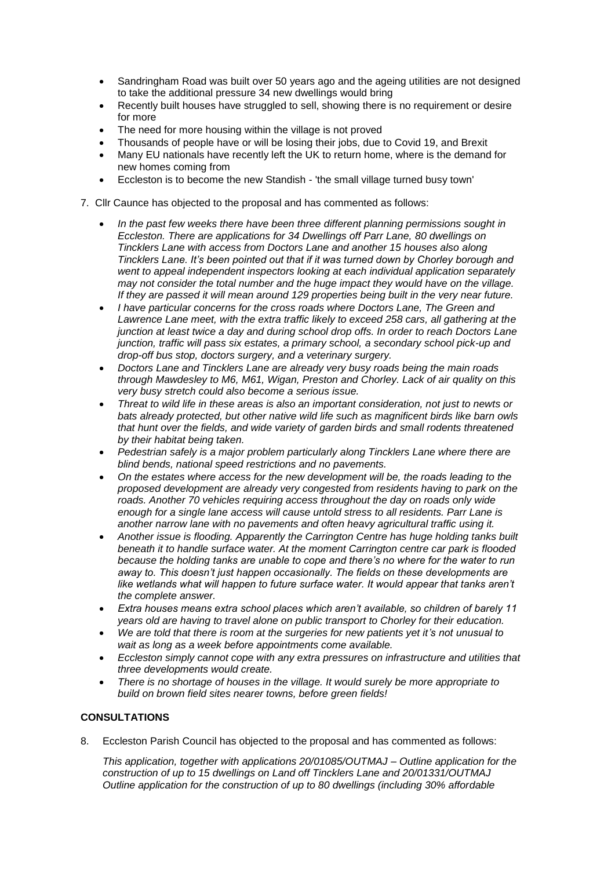- Sandringham Road was built over 50 years ago and the ageing utilities are not designed to take the additional pressure 34 new dwellings would bring
- Recently built houses have struggled to sell, showing there is no requirement or desire for more
- The need for more housing within the village is not proved
- Thousands of people have or will be losing their jobs, due to Covid 19, and Brexit
- Many EU nationals have recently left the UK to return home, where is the demand for new homes coming from
- Eccleston is to become the new Standish 'the small village turned busy town'
- 7. Cllr Caunce has objected to the proposal and has commented as follows:
	- *In the past few weeks there have been three different planning permissions sought in Eccleston. There are applications for 34 Dwellings off Parr Lane, [80 dwellings on](x-apple-data-detectors://0/)  [Tincklers Lane](x-apple-data-detectors://0/) with access from Doctors Lane and another 15 houses also along Tincklers Lane. It's been pointed out that if it was turned down by Chorley borough and went to appeal independent inspectors looking at each individual application separately may not consider the total number and the huge impact they would have on the village. If they are passed it will mean around 129 properties being built in the very near future.*
	- *I have particular concerns for the cross roads where Doctors Lane, The Green and Lawrence Lane meet, with the extra traffic likely to exceed 258 cars, all gathering at the junction at least twice a day and during school drop offs. In order to reach Doctors Lane junction, traffic will pass six estates, a primary school, a secondary school pick-up and drop-off bus stop, doctors surgery, and a veterinary surgery.*
	- *Doctors Lane and Tincklers Lane are already very busy roads being the main roads through Mawdesley to M6, M61, Wigan, Preston and Chorley. Lack of air quality on this very busy stretch could also become a serious issue.*
	- *Threat to wild life in these areas is also an important consideration, not just to newts or bats already protected, but other native wild life such as magnificent birds like barn owls that hunt over the fields, and wide variety of garden birds and small rodents threatened by their habitat being taken.*
	- *Pedestrian safely is a major problem particularly along Tincklers Lane where there are blind bends, national speed restrictions and no pavements.*
	- *On the estates where access for the new development will be, the roads leading to the proposed development are already very congested from residents having to park on the roads. Another 70 vehicles requiring access throughout the day on roads only wide enough for a single lane access will cause untold stress to all residents. Parr Lane is another narrow lane with no pavements and often heavy agricultural traffic using it.*
	- *Another issue is flooding. Apparently the Carrington Centre has huge holding tanks built beneath it to handle surface water. At the moment Carrington centre car park is flooded because the holding tanks are unable to cope and there's no where for the water to run away to. This doesn't just happen occasionally. The fields on these developments are like wetlands what will happen to future surface water. It would appear that tanks aren't the complete answer.*
	- *Extra houses means extra school places which aren't available, so children of barely 11 years old are having to travel alone on public transport to Chorley for their education.*
	- *We are told that there is room at the surgeries for new patients yet it's not unusual to wait as long as a week before appointments come available.*
	- *Eccleston simply cannot cope with any extra pressures on infrastructure and utilities that three developments would create.*
	- *There is no shortage of houses in the village. It would surely be more appropriate to build on brown field sites nearer towns, before green fields!*

## **CONSULTATIONS**

8. Eccleston Parish Council has objected to the proposal and has commented as follows:

*This application, together with applications 20/01085/OUTMAJ – Outline application for the construction of up to 15 dwellings on Land off Tincklers Lane and 20/01331/OUTMAJ Outline application for the construction of up to 80 dwellings (including 30% affordable*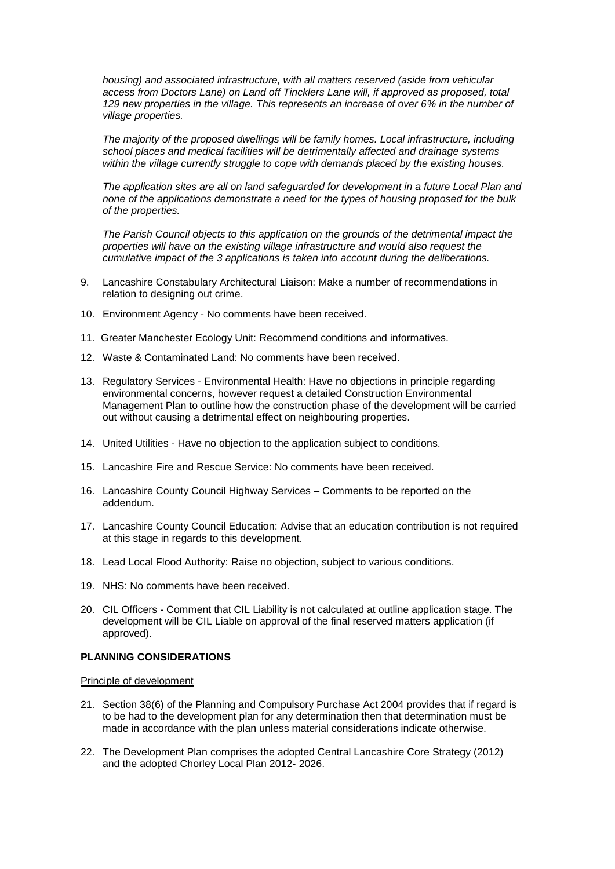*housing) and associated infrastructure, with all matters reserved (aside from vehicular access from Doctors Lane) on Land off Tincklers Lane will, if approved as proposed, total 129 new properties in the village. This represents an increase of over 6% in the number of village properties.*

*The majority of the proposed dwellings will be family homes. Local infrastructure, including school places and medical facilities will be detrimentally affected and drainage systems within the village currently struggle to cope with demands placed by the existing houses.*

*The application sites are all on land safeguarded for development in a future Local Plan and none of the applications demonstrate a need for the types of housing proposed for the bulk of the properties.*

*The Parish Council objects to this application on the grounds of the detrimental impact the properties will have on the existing village infrastructure and would also request the cumulative impact of the 3 applications is taken into account during the deliberations.* 

- 9. Lancashire Constabulary Architectural Liaison: Make a number of recommendations in relation to designing out crime.
- 10. Environment Agency No comments have been received.
- 11. Greater Manchester Ecology Unit: Recommend conditions and informatives.
- 12. Waste & Contaminated Land: No comments have been received.
- 13. Regulatory Services Environmental Health: Have no objections in principle regarding environmental concerns, however request a detailed Construction Environmental Management Plan to outline how the construction phase of the development will be carried out without causing a detrimental effect on neighbouring properties.
- 14. United Utilities Have no objection to the application subject to conditions.
- 15. Lancashire Fire and Rescue Service: No comments have been received.
- 16. Lancashire County Council Highway Services Comments to be reported on the addendum.
- 17. Lancashire County Council Education: Advise that an education contribution is not required at this stage in regards to this development.
- 18. Lead Local Flood Authority: Raise no objection, subject to various conditions.
- 19. NHS: No comments have been received.
- 20. CIL Officers Comment that CIL Liability is not calculated at outline application stage. The development will be CIL Liable on approval of the final reserved matters application (if approved).

## **PLANNING CONSIDERATIONS**

### Principle of development

- 21. Section 38(6) of the Planning and Compulsory Purchase Act 2004 provides that if regard is to be had to the development plan for any determination then that determination must be made in accordance with the plan unless material considerations indicate otherwise.
- 22. The Development Plan comprises the adopted Central Lancashire Core Strategy (2012) and the adopted Chorley Local Plan 2012- 2026.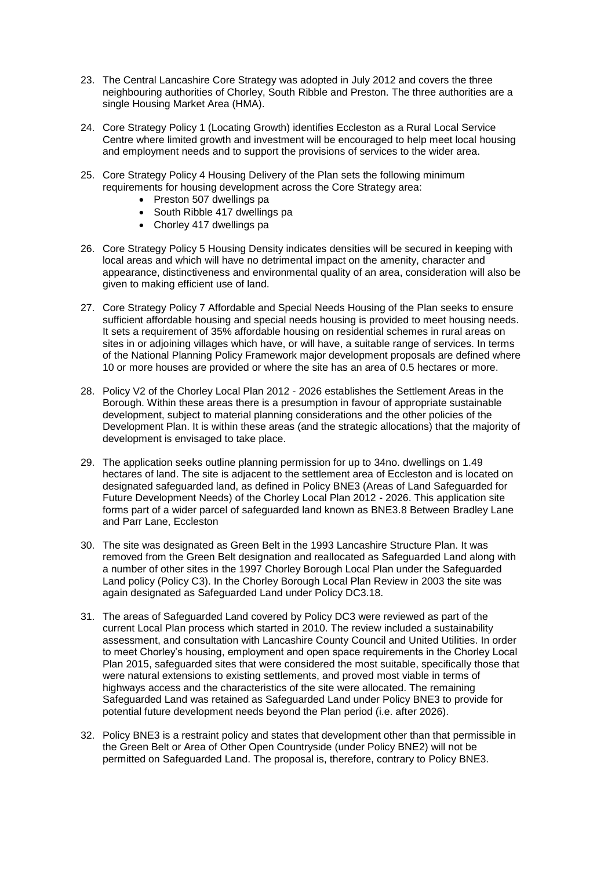- 23. The Central Lancashire Core Strategy was adopted in July 2012 and covers the three neighbouring authorities of Chorley, South Ribble and Preston. The three authorities are a single Housing Market Area (HMA).
- 24. Core Strategy Policy 1 (Locating Growth) identifies Eccleston as a Rural Local Service Centre where limited growth and investment will be encouraged to help meet local housing and employment needs and to support the provisions of services to the wider area.
- 25. Core Strategy Policy 4 Housing Delivery of the Plan sets the following minimum requirements for housing development across the Core Strategy area:
	- Preston 507 dwellings pa
	- South Ribble 417 dwellings pa
	- Chorley 417 dwellings pa
- 26. Core Strategy Policy 5 Housing Density indicates densities will be secured in keeping with local areas and which will have no detrimental impact on the amenity, character and appearance, distinctiveness and environmental quality of an area, consideration will also be given to making efficient use of land.
- 27. Core Strategy Policy 7 Affordable and Special Needs Housing of the Plan seeks to ensure sufficient affordable housing and special needs housing is provided to meet housing needs. It sets a requirement of 35% affordable housing on residential schemes in rural areas on sites in or adjoining villages which have, or will have, a suitable range of services. In terms of the National Planning Policy Framework major development proposals are defined where 10 or more houses are provided or where the site has an area of 0.5 hectares or more.
- 28. Policy V2 of the Chorley Local Plan 2012 2026 establishes the Settlement Areas in the Borough. Within these areas there is a presumption in favour of appropriate sustainable development, subject to material planning considerations and the other policies of the Development Plan. It is within these areas (and the strategic allocations) that the majority of development is envisaged to take place.
- 29. The application seeks outline planning permission for up to 34no. dwellings on 1.49 hectares of land. The site is adjacent to the settlement area of Eccleston and is located on designated safeguarded land, as defined in Policy BNE3 (Areas of Land Safeguarded for Future Development Needs) of the Chorley Local Plan 2012 - 2026. This application site forms part of a wider parcel of safeguarded land known as BNE3.8 Between Bradley Lane and Parr Lane, Eccleston
- 30. The site was designated as Green Belt in the 1993 Lancashire Structure Plan. It was removed from the Green Belt designation and reallocated as Safeguarded Land along with a number of other sites in the 1997 Chorley Borough Local Plan under the Safeguarded Land policy (Policy C3). In the Chorley Borough Local Plan Review in 2003 the site was again designated as Safeguarded Land under Policy DC3.18.
- 31. The areas of Safeguarded Land covered by Policy DC3 were reviewed as part of the current Local Plan process which started in 2010. The review included a sustainability assessment, and consultation with Lancashire County Council and United Utilities. In order to meet Chorley's housing, employment and open space requirements in the Chorley Local Plan 2015, safeguarded sites that were considered the most suitable, specifically those that were natural extensions to existing settlements, and proved most viable in terms of highways access and the characteristics of the site were allocated. The remaining Safeguarded Land was retained as Safeguarded Land under Policy BNE3 to provide for potential future development needs beyond the Plan period (i.e. after 2026).
- 32. Policy BNE3 is a restraint policy and states that development other than that permissible in the Green Belt or Area of Other Open Countryside (under Policy BNE2) will not be permitted on Safeguarded Land. The proposal is, therefore, contrary to Policy BNE3.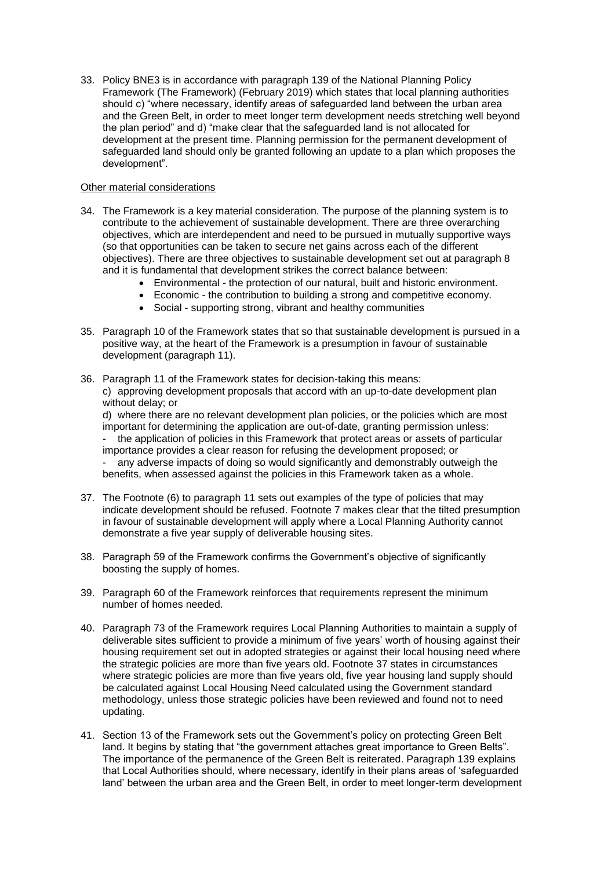33. Policy BNE3 is in accordance with paragraph 139 of the National Planning Policy Framework (The Framework) (February 2019) which states that local planning authorities should c) "where necessary, identify areas of safeguarded land between the urban area and the Green Belt, in order to meet longer term development needs stretching well beyond the plan period" and d) "make clear that the safeguarded land is not allocated for development at the present time. Planning permission for the permanent development of safeguarded land should only be granted following an update to a plan which proposes the development".

### Other material considerations

- 34. The Framework is a key material consideration. The purpose of the planning system is to contribute to the achievement of sustainable development. There are three overarching objectives, which are interdependent and need to be pursued in mutually supportive ways (so that opportunities can be taken to secure net gains across each of the different objectives). There are three objectives to sustainable development set out at paragraph 8 and it is fundamental that development strikes the correct balance between:
	- Environmental the protection of our natural, built and historic environment.
	- Economic the contribution to building a strong and competitive economy.
	- Social supporting strong, vibrant and healthy communities
- 35. Paragraph 10 of the Framework states that so that sustainable development is pursued in a positive way, at the heart of the Framework is a presumption in favour of sustainable development (paragraph 11).
- 36. Paragraph 11 of the Framework states for decision-taking this means: c) approving development proposals that accord with an up-to-date development plan without delay; or

d) where there are no relevant development plan policies, or the policies which are most important for determining the application are out-of-date, granting permission unless: - the application of policies in this Framework that protect areas or assets of particular

importance provides a clear reason for refusing the development proposed; or any adverse impacts of doing so would significantly and demonstrably outweigh the

benefits, when assessed against the policies in this Framework taken as a whole.

- 37. The Footnote (6) to paragraph 11 sets out examples of the type of policies that may indicate development should be refused. Footnote 7 makes clear that the tilted presumption in favour of sustainable development will apply where a Local Planning Authority cannot demonstrate a five year supply of deliverable housing sites.
- 38. Paragraph 59 of the Framework confirms the Government's objective of significantly boosting the supply of homes.
- 39. Paragraph 60 of the Framework reinforces that requirements represent the minimum number of homes needed.
- 40. Paragraph 73 of the Framework requires Local Planning Authorities to maintain a supply of deliverable sites sufficient to provide a minimum of five years' worth of housing against their housing requirement set out in adopted strategies or against their local housing need where the strategic policies are more than five years old. Footnote 37 states in circumstances where strategic policies are more than five years old, five year housing land supply should be calculated against Local Housing Need calculated using the Government standard methodology, unless those strategic policies have been reviewed and found not to need updating.
- 41. Section 13 of the Framework sets out the Government's policy on protecting Green Belt land. It begins by stating that "the government attaches great importance to Green Belts". The importance of the permanence of the Green Belt is reiterated. Paragraph 139 explains that Local Authorities should, where necessary, identify in their plans areas of 'safeguarded land' between the urban area and the Green Belt, in order to meet longer-term development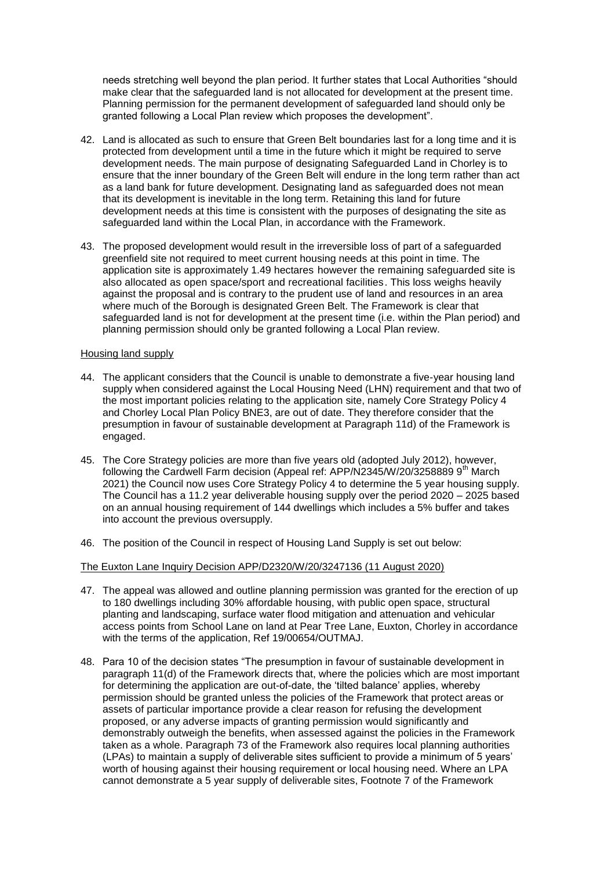needs stretching well beyond the plan period. It further states that Local Authorities "should make clear that the safeguarded land is not allocated for development at the present time. Planning permission for the permanent development of safeguarded land should only be granted following a Local Plan review which proposes the development".

- 42. Land is allocated as such to ensure that Green Belt boundaries last for a long time and it is protected from development until a time in the future which it might be required to serve development needs. The main purpose of designating Safeguarded Land in Chorley is to ensure that the inner boundary of the Green Belt will endure in the long term rather than act as a land bank for future development. Designating land as safeguarded does not mean that its development is inevitable in the long term. Retaining this land for future development needs at this time is consistent with the purposes of designating the site as safeguarded land within the Local Plan, in accordance with the Framework.
- 43. The proposed development would result in the irreversible loss of part of a safeguarded greenfield site not required to meet current housing needs at this point in time. The application site is approximately 1.49 hectares however the remaining safeguarded site is also allocated as open space/sport and recreational facilities. This loss weighs heavily against the proposal and is contrary to the prudent use of land and resources in an area where much of the Borough is designated Green Belt. The Framework is clear that safeguarded land is not for development at the present time (i.e. within the Plan period) and planning permission should only be granted following a Local Plan review.

#### Housing land supply

- 44. The applicant considers that the Council is unable to demonstrate a five-year housing land supply when considered against the Local Housing Need (LHN) requirement and that two of the most important policies relating to the application site, namely Core Strategy Policy 4 and Chorley Local Plan Policy BNE3, are out of date. They therefore consider that the presumption in favour of sustainable development at Paragraph 11d) of the Framework is engaged.
- 45. The Core Strategy policies are more than five years old (adopted July 2012), however, following the Cardwell Farm decision (Appeal ref: APP/N2345/W/20/3258889 9<sup>th</sup> March 2021) the Council now uses Core Strategy Policy 4 to determine the 5 year housing supply. The Council has a 11.2 year deliverable housing supply over the period 2020 – 2025 based on an annual housing requirement of 144 dwellings which includes a 5% buffer and takes into account the previous oversupply.
- 46. The position of the Council in respect of Housing Land Supply is set out below:

### The Euxton Lane Inquiry Decision APP/D2320/W/20/3247136 (11 August 2020)

- 47. The appeal was allowed and outline planning permission was granted for the erection of up to 180 dwellings including 30% affordable housing, with public open space, structural planting and landscaping, surface water flood mitigation and attenuation and vehicular access points from School Lane on land at Pear Tree Lane, Euxton, Chorley in accordance with the terms of the application, Ref 19/00654/OUTMAJ.
- 48. Para 10 of the decision states "The presumption in favour of sustainable development in paragraph 11(d) of the Framework directs that, where the policies which are most important for determining the application are out-of-date, the 'tilted balance' applies, whereby permission should be granted unless the policies of the Framework that protect areas or assets of particular importance provide a clear reason for refusing the development proposed, or any adverse impacts of granting permission would significantly and demonstrably outweigh the benefits, when assessed against the policies in the Framework taken as a whole. Paragraph 73 of the Framework also requires local planning authorities (LPAs) to maintain a supply of deliverable sites sufficient to provide a minimum of 5 years' worth of housing against their housing requirement or local housing need. Where an LPA cannot demonstrate a 5 year supply of deliverable sites, Footnote 7 of the Framework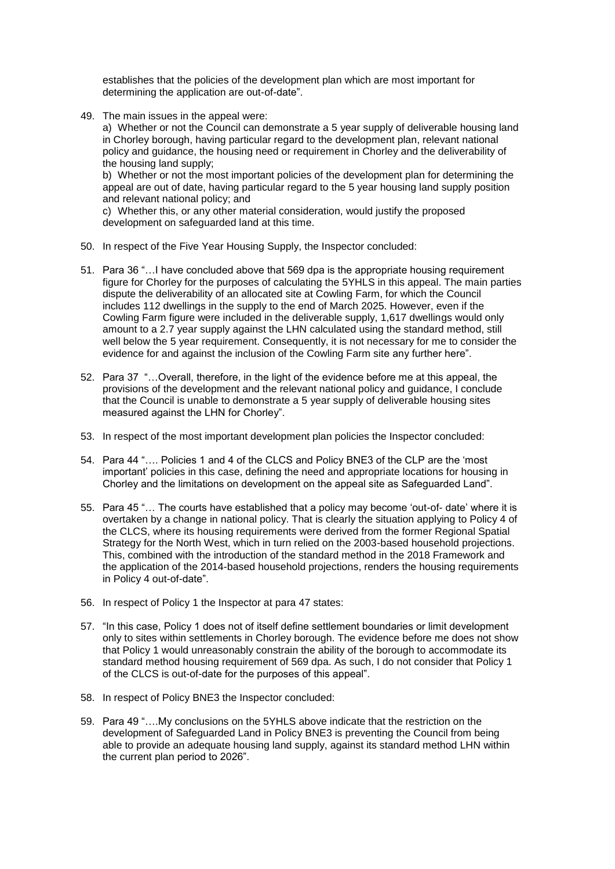establishes that the policies of the development plan which are most important for determining the application are out-of-date".

49. The main issues in the appeal were:

a) Whether or not the Council can demonstrate a 5 year supply of deliverable housing land in Chorley borough, having particular regard to the development plan, relevant national policy and guidance, the housing need or requirement in Chorley and the deliverability of the housing land supply;

b) Whether or not the most important policies of the development plan for determining the appeal are out of date, having particular regard to the 5 year housing land supply position and relevant national policy; and

c) Whether this, or any other material consideration, would justify the proposed development on safeguarded land at this time.

- 50. In respect of the Five Year Housing Supply, the Inspector concluded:
- 51. Para 36 "…I have concluded above that 569 dpa is the appropriate housing requirement figure for Chorley for the purposes of calculating the 5YHLS in this appeal. The main parties dispute the deliverability of an allocated site at Cowling Farm, for which the Council includes 112 dwellings in the supply to the end of March 2025. However, even if the Cowling Farm figure were included in the deliverable supply, 1,617 dwellings would only amount to a 2.7 year supply against the LHN calculated using the standard method, still well below the 5 year requirement. Consequently, it is not necessary for me to consider the evidence for and against the inclusion of the Cowling Farm site any further here".
- 52. Para 37 "…Overall, therefore, in the light of the evidence before me at this appeal, the provisions of the development and the relevant national policy and guidance, I conclude that the Council is unable to demonstrate a 5 year supply of deliverable housing sites measured against the LHN for Chorley".
- 53. In respect of the most important development plan policies the Inspector concluded:
- 54. Para 44 "…. Policies 1 and 4 of the CLCS and Policy BNE3 of the CLP are the 'most important' policies in this case, defining the need and appropriate locations for housing in Chorley and the limitations on development on the appeal site as Safeguarded Land".
- 55. Para 45 "… The courts have established that a policy may become 'out-of- date' where it is overtaken by a change in national policy. That is clearly the situation applying to Policy 4 of the CLCS, where its housing requirements were derived from the former Regional Spatial Strategy for the North West, which in turn relied on the 2003-based household projections. This, combined with the introduction of the standard method in the 2018 Framework and the application of the 2014-based household projections, renders the housing requirements in Policy 4 out-of-date".
- 56. In respect of Policy 1 the Inspector at para 47 states:
- 57. "In this case, Policy 1 does not of itself define settlement boundaries or limit development only to sites within settlements in Chorley borough. The evidence before me does not show that Policy 1 would unreasonably constrain the ability of the borough to accommodate its standard method housing requirement of 569 dpa. As such, I do not consider that Policy 1 of the CLCS is out-of-date for the purposes of this appeal".
- 58. In respect of Policy BNE3 the Inspector concluded:
- 59. Para 49 "….My conclusions on the 5YHLS above indicate that the restriction on the development of Safeguarded Land in Policy BNE3 is preventing the Council from being able to provide an adequate housing land supply, against its standard method LHN within the current plan period to 2026".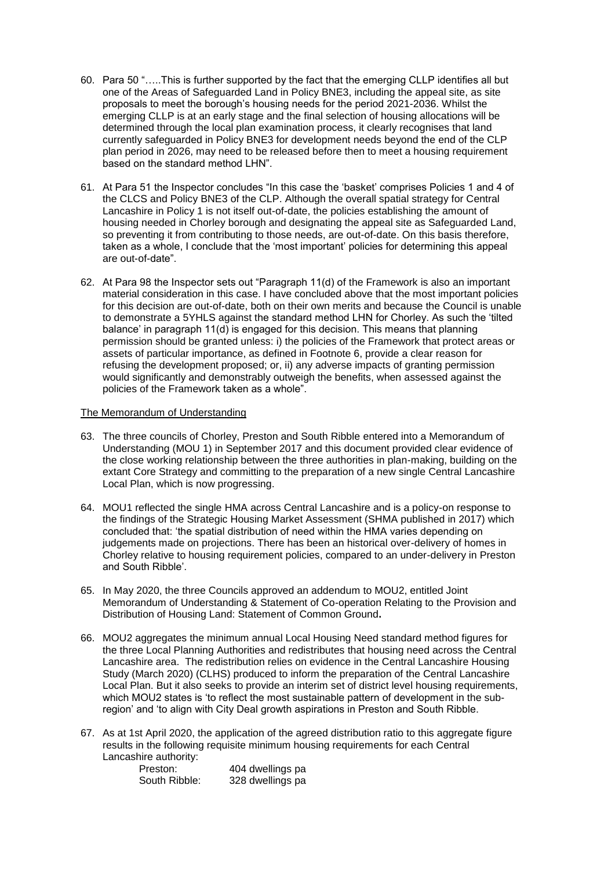- 60. Para 50 "…..This is further supported by the fact that the emerging CLLP identifies all but one of the Areas of Safeguarded Land in Policy BNE3, including the appeal site, as site proposals to meet the borough's housing needs for the period 2021-2036. Whilst the emerging CLLP is at an early stage and the final selection of housing allocations will be determined through the local plan examination process, it clearly recognises that land currently safeguarded in Policy BNE3 for development needs beyond the end of the CLP plan period in 2026, may need to be released before then to meet a housing requirement based on the standard method LHN".
- 61. At Para 51 the Inspector concludes "In this case the 'basket' comprises Policies 1 and 4 of the CLCS and Policy BNE3 of the CLP. Although the overall spatial strategy for Central Lancashire in Policy 1 is not itself out-of-date, the policies establishing the amount of housing needed in Chorley borough and designating the appeal site as Safeguarded Land, so preventing it from contributing to those needs, are out-of-date. On this basis therefore, taken as a whole, I conclude that the 'most important' policies for determining this appeal are out-of-date".
- 62. At Para 98 the Inspector sets out "Paragraph 11(d) of the Framework is also an important material consideration in this case. I have concluded above that the most important policies for this decision are out-of-date, both on their own merits and because the Council is unable to demonstrate a 5YHLS against the standard method LHN for Chorley. As such the 'tilted balance' in paragraph 11(d) is engaged for this decision. This means that planning permission should be granted unless: i) the policies of the Framework that protect areas or assets of particular importance, as defined in Footnote 6, provide a clear reason for refusing the development proposed; or, ii) any adverse impacts of granting permission would significantly and demonstrably outweigh the benefits, when assessed against the policies of the Framework taken as a whole".

### The Memorandum of Understanding

- 63. The three councils of Chorley, Preston and South Ribble entered into a Memorandum of Understanding (MOU 1) in September 2017 and this document provided clear evidence of the close working relationship between the three authorities in plan-making, building on the extant Core Strategy and committing to the preparation of a new single Central Lancashire Local Plan, which is now progressing.
- 64. MOU1 reflected the single HMA across Central Lancashire and is a policy-on response to the findings of the Strategic Housing Market Assessment (SHMA published in 2017) which concluded that: 'the spatial distribution of need within the HMA varies depending on judgements made on projections. There has been an historical over-delivery of homes in Chorley relative to housing requirement policies, compared to an under-delivery in Preston and South Ribble'.
- 65. In May 2020, the three Councils approved an addendum to MOU2, entitled Joint Memorandum of Understanding & Statement of Co-operation Relating to the Provision and Distribution of Housing Land: Statement of Common Ground**.**
- 66. MOU2 aggregates the minimum annual Local Housing Need standard method figures for the three Local Planning Authorities and redistributes that housing need across the Central Lancashire area. The redistribution relies on evidence in the Central Lancashire Housing Study (March 2020) (CLHS) produced to inform the preparation of the Central Lancashire Local Plan. But it also seeks to provide an interim set of district level housing requirements, which MOU2 states is 'to reflect the most sustainable pattern of development in the subregion' and 'to align with City Deal growth aspirations in Preston and South Ribble.
- 67. As at 1st April 2020, the application of the agreed distribution ratio to this aggregate figure results in the following requisite minimum housing requirements for each Central Lancashire authority:

| Preston:      | 404 dwellings pa |
|---------------|------------------|
| South Ribble: | 328 dwellings pa |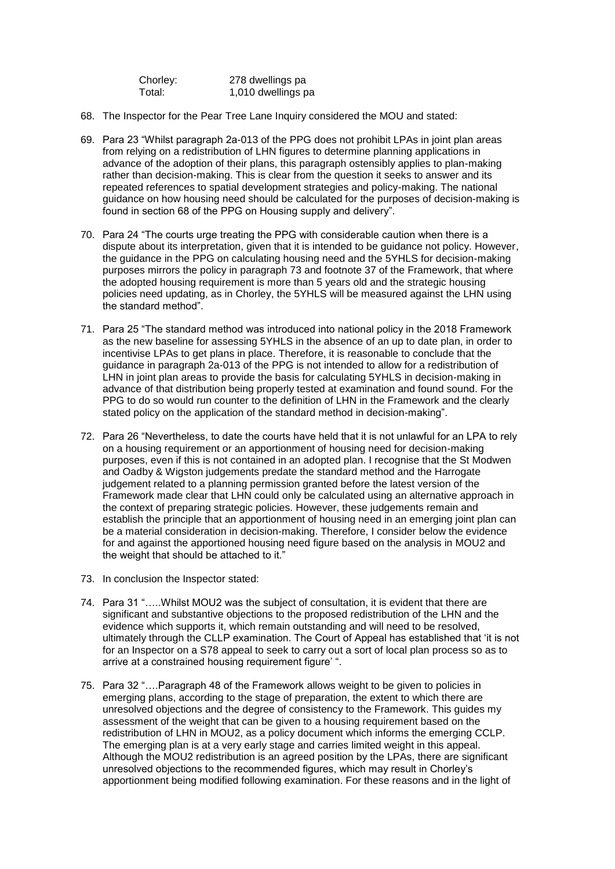| Chorley: | 278 dwellings pa   |
|----------|--------------------|
| Total:   | 1,010 dwellings pa |

- 68. The Inspector for the Pear Tree Lane Inquiry considered the MOU and stated:
- 69. Para 23 "Whilst paragraph 2a-013 of the PPG does not prohibit LPAs in joint plan areas from relying on a redistribution of LHN figures to determine planning applications in advance of the adoption of their plans, this paragraph ostensibly applies to plan-making rather than decision-making. This is clear from the question it seeks to answer and its repeated references to spatial development strategies and policy-making. The national guidance on how housing need should be calculated for the purposes of decision-making is found in section 68 of the PPG on Housing supply and delivery".
- 70. Para 24 "The courts urge treating the PPG with considerable caution when there is a dispute about its interpretation, given that it is intended to be guidance not policy. However, the guidance in the PPG on calculating housing need and the 5YHLS for decision-making purposes mirrors the policy in paragraph 73 and footnote 37 of the Framework, that where the adopted housing requirement is more than 5 years old and the strategic housing policies need updating, as in Chorley, the 5YHLS will be measured against the LHN using the standard method".
- 71. Para 25 "The standard method was introduced into national policy in the 2018 Framework as the new baseline for assessing 5YHLS in the absence of an up to date plan, in order to incentivise LPAs to get plans in place. Therefore, it is reasonable to conclude that the guidance in paragraph 2a-013 of the PPG is not intended to allow for a redistribution of LHN in joint plan areas to provide the basis for calculating 5YHLS in decision-making in advance of that distribution being properly tested at examination and found sound. For the PPG to do so would run counter to the definition of LHN in the Framework and the clearly stated policy on the application of the standard method in decision-making".
- 72. Para 26 "Nevertheless, to date the courts have held that it is not unlawful for an LPA to rely on a housing requirement or an apportionment of housing need for decision-making purposes, even if this is not contained in an adopted plan. I recognise that the St Modwen and Oadby & Wigston judgements predate the standard method and the Harrogate judgement related to a planning permission granted before the latest version of the Framework made clear that LHN could only be calculated using an alternative approach in the context of preparing strategic policies. However, these judgements remain and establish the principle that an apportionment of housing need in an emerging joint plan can be a material consideration in decision-making. Therefore, I consider below the evidence for and against the apportioned housing need figure based on the analysis in MOU2 and the weight that should be attached to it.'
- 73. In conclusion the Inspector stated:
- 74. Para 31 "…..Whilst MOU2 was the subject of consultation, it is evident that there are significant and substantive objections to the proposed redistribution of the LHN and the evidence which supports it, which remain outstanding and will need to be resolved, ultimately through the CLLP examination. The Court of Appeal has established that 'it is not for an Inspector on a S78 appeal to seek to carry out a sort of local plan process so as to arrive at a constrained housing requirement figure' ".
- 75. Para 32 "….Paragraph 48 of the Framework allows weight to be given to policies in emerging plans, according to the stage of preparation, the extent to which there are unresolved objections and the degree of consistency to the Framework. This guides my assessment of the weight that can be given to a housing requirement based on the redistribution of LHN in MOU2, as a policy document which informs the emerging CCLP. The emerging plan is at a very early stage and carries limited weight in this appeal. Although the MOU2 redistribution is an agreed position by the LPAs, there are significant unresolved objections to the recommended figures, which may result in Chorley's apportionment being modified following examination. For these reasons and in the light of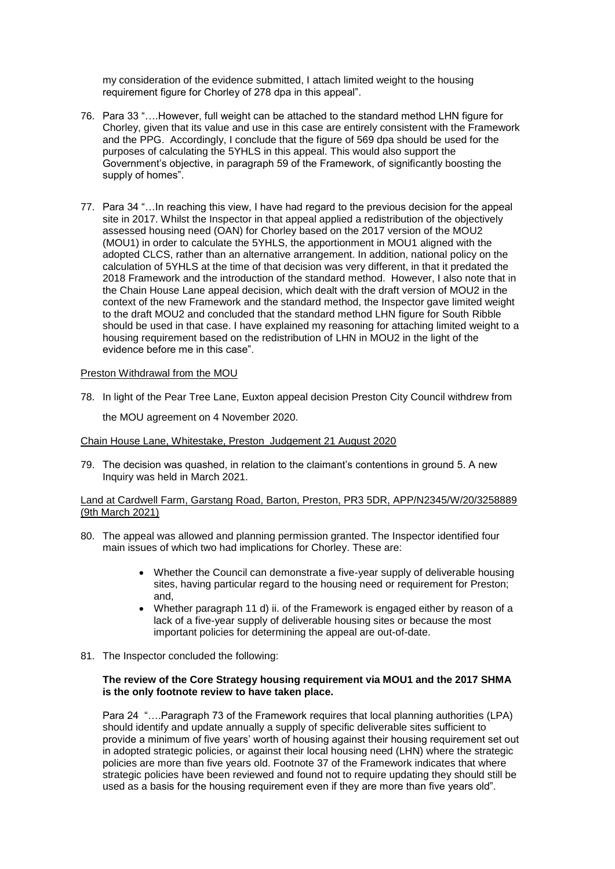my consideration of the evidence submitted, I attach limited weight to the housing requirement figure for Chorley of 278 dpa in this appeal".

- 76. Para 33 "….However, full weight can be attached to the standard method LHN figure for Chorley, given that its value and use in this case are entirely consistent with the Framework and the PPG. Accordingly, I conclude that the figure of 569 dpa should be used for the purposes of calculating the 5YHLS in this appeal. This would also support the Government's objective, in paragraph 59 of the Framework, of significantly boosting the supply of homes".
- 77. Para 34 "…In reaching this view, I have had regard to the previous decision for the appeal site in 2017. Whilst the Inspector in that appeal applied a redistribution of the objectively assessed housing need (OAN) for Chorley based on the 2017 version of the MOU2 (MOU1) in order to calculate the 5YHLS, the apportionment in MOU1 aligned with the adopted CLCS, rather than an alternative arrangement. In addition, national policy on the calculation of 5YHLS at the time of that decision was very different, in that it predated the 2018 Framework and the introduction of the standard method. However, I also note that in the Chain House Lane appeal decision, which dealt with the draft version of MOU2 in the context of the new Framework and the standard method, the Inspector gave limited weight to the draft MOU2 and concluded that the standard method LHN figure for South Ribble should be used in that case. I have explained my reasoning for attaching limited weight to a housing requirement based on the redistribution of LHN in MOU2 in the light of the evidence before me in this case".

### Preston Withdrawal from the MOU

78. In light of the Pear Tree Lane, Euxton appeal decision Preston City Council withdrew from the MOU agreement on 4 November 2020.

Chain House Lane, Whitestake, Preston Judgement 21 August 2020

79. The decision was quashed, in relation to the claimant's contentions in ground 5. A new Inquiry was held in March 2021.

### Land at Cardwell Farm, Garstang Road, Barton, Preston, PR3 5DR, APP/N2345/W/20/3258889 (9th March 2021)

- 80. The appeal was allowed and planning permission granted. The Inspector identified four main issues of which two had implications for Chorley. These are:
	- Whether the Council can demonstrate a five-year supply of deliverable housing sites, having particular regard to the housing need or requirement for Preston; and,
	- Whether paragraph 11 d) ii. of the Framework is engaged either by reason of a lack of a five-year supply of deliverable housing sites or because the most important policies for determining the appeal are out-of-date.
- 81. The Inspector concluded the following:

### **The review of the Core Strategy housing requirement via MOU1 and the 2017 SHMA is the only footnote review to have taken place.**

Para 24 "….Paragraph 73 of the Framework requires that local planning authorities (LPA) should identify and update annually a supply of specific deliverable sites sufficient to provide a minimum of five years' worth of housing against their housing requirement set out in adopted strategic policies, or against their local housing need (LHN) where the strategic policies are more than five years old. Footnote 37 of the Framework indicates that where strategic policies have been reviewed and found not to require updating they should still be used as a basis for the housing requirement even if they are more than five years old".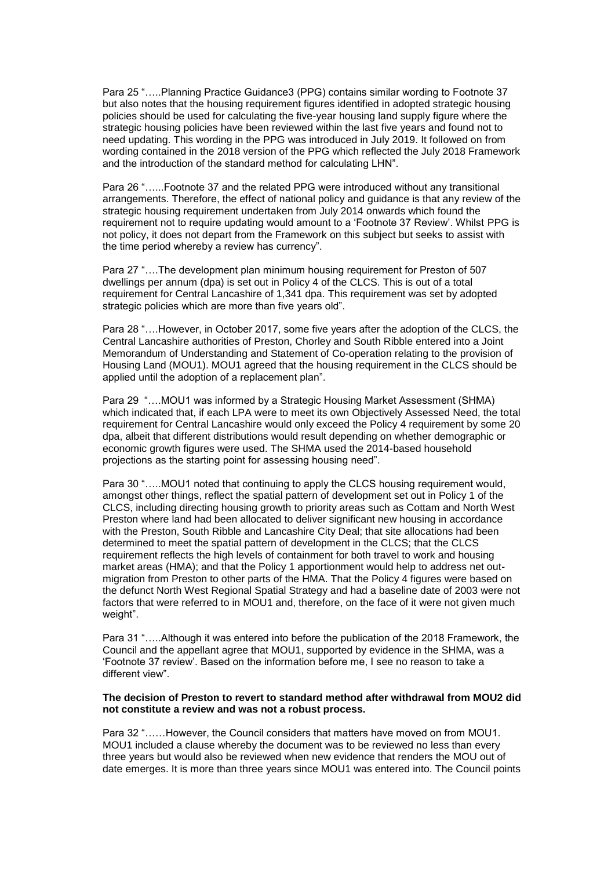Para 25 "…..Planning Practice Guidance3 (PPG) contains similar wording to Footnote 37 but also notes that the housing requirement figures identified in adopted strategic housing policies should be used for calculating the five-year housing land supply figure where the strategic housing policies have been reviewed within the last five years and found not to need updating. This wording in the PPG was introduced in July 2019. It followed on from wording contained in the 2018 version of the PPG which reflected the July 2018 Framework and the introduction of the standard method for calculating LHN".

Para 26 "…...Footnote 37 and the related PPG were introduced without any transitional arrangements. Therefore, the effect of national policy and guidance is that any review of the strategic housing requirement undertaken from July 2014 onwards which found the requirement not to require updating would amount to a 'Footnote 37 Review'. Whilst PPG is not policy, it does not depart from the Framework on this subject but seeks to assist with the time period whereby a review has currency".

Para 27 "….The development plan minimum housing requirement for Preston of 507 dwellings per annum (dpa) is set out in Policy 4 of the CLCS. This is out of a total requirement for Central Lancashire of 1,341 dpa. This requirement was set by adopted strategic policies which are more than five years old".

Para 28 "….However, in October 2017, some five years after the adoption of the CLCS, the Central Lancashire authorities of Preston, Chorley and South Ribble entered into a Joint Memorandum of Understanding and Statement of Co-operation relating to the provision of Housing Land (MOU1). MOU1 agreed that the housing requirement in the CLCS should be applied until the adoption of a replacement plan".

Para 29 "….MOU1 was informed by a Strategic Housing Market Assessment (SHMA) which indicated that, if each LPA were to meet its own Objectively Assessed Need, the total requirement for Central Lancashire would only exceed the Policy 4 requirement by some 20 dpa, albeit that different distributions would result depending on whether demographic or economic growth figures were used. The SHMA used the 2014-based household projections as the starting point for assessing housing need".

Para 30 "…..MOU1 noted that continuing to apply the CLCS housing requirement would, amongst other things, reflect the spatial pattern of development set out in Policy 1 of the CLCS, including directing housing growth to priority areas such as Cottam and North West Preston where land had been allocated to deliver significant new housing in accordance with the Preston, South Ribble and Lancashire City Deal; that site allocations had been determined to meet the spatial pattern of development in the CLCS; that the CLCS requirement reflects the high levels of containment for both travel to work and housing market areas (HMA); and that the Policy 1 apportionment would help to address net outmigration from Preston to other parts of the HMA. That the Policy 4 figures were based on the defunct North West Regional Spatial Strategy and had a baseline date of 2003 were not factors that were referred to in MOU1 and, therefore, on the face of it were not given much weight".

Para 31 "…..Although it was entered into before the publication of the 2018 Framework, the Council and the appellant agree that MOU1, supported by evidence in the SHMA, was a 'Footnote 37 review'. Based on the information before me, I see no reason to take a different view".

#### **The decision of Preston to revert to standard method after withdrawal from MOU2 did not constitute a review and was not a robust process.**

Para 32 "……However, the Council considers that matters have moved on from MOU1. MOU1 included a clause whereby the document was to be reviewed no less than every three years but would also be reviewed when new evidence that renders the MOU out of date emerges. It is more than three years since MOU1 was entered into. The Council points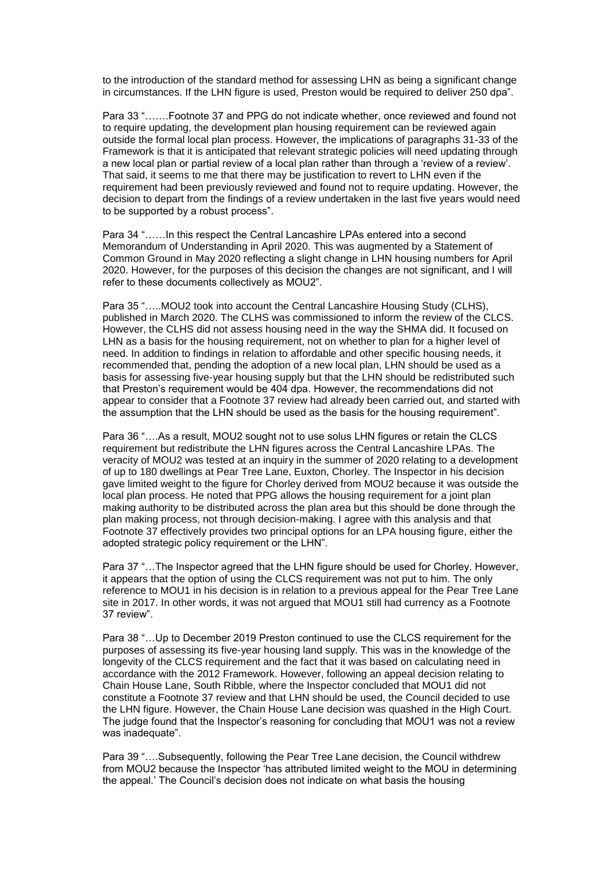to the introduction of the standard method for assessing LHN as being a significant change in circumstances. If the LHN figure is used, Preston would be required to deliver 250 dpa".

Para 33 "…….Footnote 37 and PPG do not indicate whether, once reviewed and found not to require updating, the development plan housing requirement can be reviewed again outside the formal local plan process. However, the implications of paragraphs 31-33 of the Framework is that it is anticipated that relevant strategic policies will need updating through a new local plan or partial review of a local plan rather than through a 'review of a review'. That said, it seems to me that there may be justification to revert to LHN even if the requirement had been previously reviewed and found not to require updating. However, the decision to depart from the findings of a review undertaken in the last five years would need to be supported by a robust process".

Para 34 "……In this respect the Central Lancashire LPAs entered into a second Memorandum of Understanding in April 2020. This was augmented by a Statement of Common Ground in May 2020 reflecting a slight change in LHN housing numbers for April 2020. However, for the purposes of this decision the changes are not significant, and I will refer to these documents collectively as MOU2".

Para 35 "…..MOU2 took into account the Central Lancashire Housing Study (CLHS), published in March 2020. The CLHS was commissioned to inform the review of the CLCS. However, the CLHS did not assess housing need in the way the SHMA did. It focused on LHN as a basis for the housing requirement, not on whether to plan for a higher level of need. In addition to findings in relation to affordable and other specific housing needs, it recommended that, pending the adoption of a new local plan, LHN should be used as a basis for assessing five-year housing supply but that the LHN should be redistributed such that Preston's requirement would be 404 dpa. However, the recommendations did not appear to consider that a Footnote 37 review had already been carried out, and started with the assumption that the LHN should be used as the basis for the housing requirement".

Para 36 "....As a result, MOU2 sought not to use solus LHN figures or retain the CLCS requirement but redistribute the LHN figures across the Central Lancashire LPAs. The veracity of MOU2 was tested at an inquiry in the summer of 2020 relating to a development of up to 180 dwellings at Pear Tree Lane, Euxton, Chorley. The Inspector in his decision gave limited weight to the figure for Chorley derived from MOU2 because it was outside the local plan process. He noted that PPG allows the housing requirement for a joint plan making authority to be distributed across the plan area but this should be done through the plan making process, not through decision-making. I agree with this analysis and that Footnote 37 effectively provides two principal options for an LPA housing figure, either the adopted strategic policy requirement or the LHN".

Para 37 "…The Inspector agreed that the LHN figure should be used for Chorley. However, it appears that the option of using the CLCS requirement was not put to him. The only reference to MOU1 in his decision is in relation to a previous appeal for the Pear Tree Lane site in 2017. In other words, it was not argued that MOU1 still had currency as a Footnote 37 review".

Para 38 "…Up to December 2019 Preston continued to use the CLCS requirement for the purposes of assessing its five-year housing land supply. This was in the knowledge of the longevity of the CLCS requirement and the fact that it was based on calculating need in accordance with the 2012 Framework. However, following an appeal decision relating to Chain House Lane, South Ribble, where the Inspector concluded that MOU1 did not constitute a Footnote 37 review and that LHN should be used, the Council decided to use the LHN figure. However, the Chain House Lane decision was quashed in the High Court. The judge found that the Inspector's reasoning for concluding that MOU1 was not a review was inadequate".

Para 39 "….Subsequently, following the Pear Tree Lane decision, the Council withdrew from MOU2 because the Inspector 'has attributed limited weight to the MOU in determining the appeal.' The Council's decision does not indicate on what basis the housing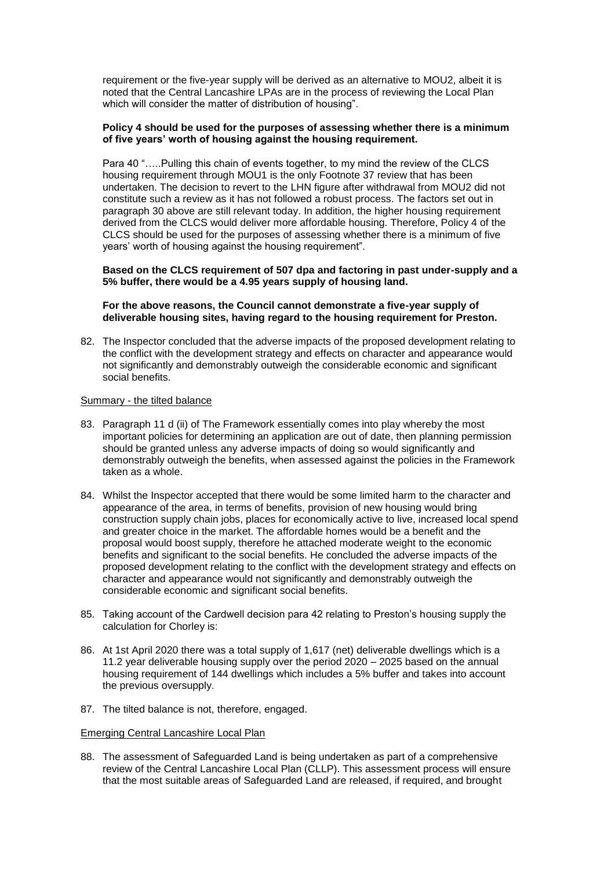requirement or the five-year supply will be derived as an alternative to MOU2, albeit it is noted that the Central Lancashire LPAs are in the process of reviewing the Local Plan which will consider the matter of distribution of housing".

### **Policy 4 should be used for the purposes of assessing whether there is a minimum of five years' worth of housing against the housing requirement.**

Para 40 ".....Pulling this chain of events together, to my mind the review of the CLCS housing requirement through MOU1 is the only Footnote 37 review that has been undertaken. The decision to revert to the LHN figure after withdrawal from MOU2 did not constitute such a review as it has not followed a robust process. The factors set out in paragraph 30 above are still relevant today. In addition, the higher housing requirement derived from the CLCS would deliver more affordable housing. Therefore, Policy 4 of the CLCS should be used for the purposes of assessing whether there is a minimum of five years' worth of housing against the housing requirement".

### **Based on the CLCS requirement of 507 dpa and factoring in past under-supply and a 5% buffer, there would be a 4.95 years supply of housing land.**

**For the above reasons, the Council cannot demonstrate a five-year supply of deliverable housing sites, having regard to the housing requirement for Preston.**

82. The Inspector concluded that the adverse impacts of the proposed development relating to the conflict with the development strategy and effects on character and appearance would not significantly and demonstrably outweigh the considerable economic and significant social benefits.

### Summary - the tilted balance

- 83. Paragraph 11 d (ii) of The Framework essentially comes into play whereby the most important policies for determining an application are out of date, then planning permission should be granted unless any adverse impacts of doing so would significantly and demonstrably outweigh the benefits, when assessed against the policies in the Framework taken as a whole.
- 84. Whilst the Inspector accepted that there would be some limited harm to the character and appearance of the area, in terms of benefits, provision of new housing would bring construction supply chain jobs, places for economically active to live, increased local spend and greater choice in the market. The affordable homes would be a benefit and the proposal would boost supply, therefore he attached moderate weight to the economic benefits and significant to the social benefits. He concluded the adverse impacts of the proposed development relating to the conflict with the development strategy and effects on character and appearance would not significantly and demonstrably outweigh the considerable economic and significant social benefits.
- 85. Taking account of the Cardwell decision para 42 relating to Preston's housing supply the calculation for Chorley is:
- 86. At 1st April 2020 there was a total supply of 1,617 (net) deliverable dwellings which is a 11.2 year deliverable housing supply over the period 2020 – 2025 based on the annual housing requirement of 144 dwellings which includes a 5% buffer and takes into account the previous oversupply.
- 87. The tilted balance is not, therefore, engaged.

### Emerging Central Lancashire Local Plan

88. The assessment of Safeguarded Land is being undertaken as part of a comprehensive review of the Central Lancashire Local Plan (CLLP). This assessment process will ensure that the most suitable areas of Safeguarded Land are released, if required, and brought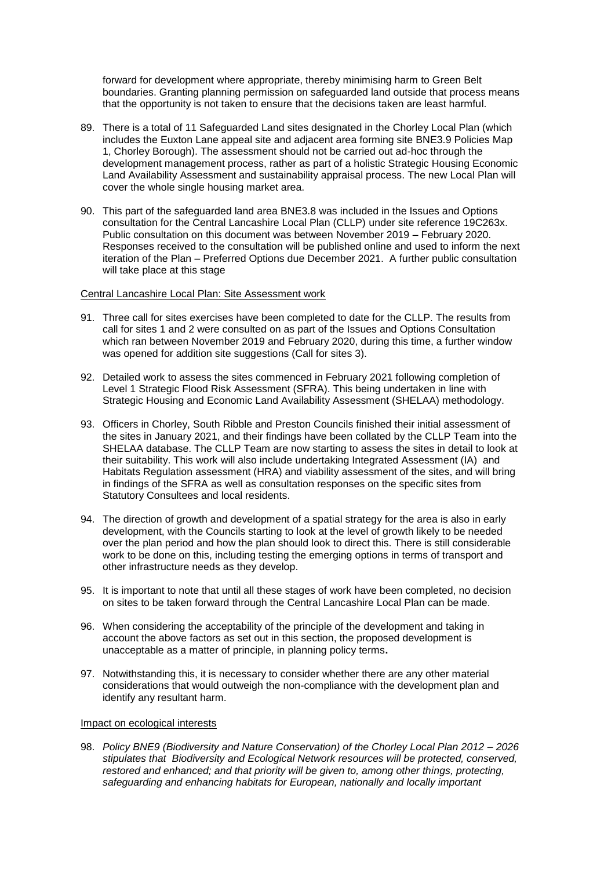forward for development where appropriate, thereby minimising harm to Green Belt boundaries. Granting planning permission on safeguarded land outside that process means that the opportunity is not taken to ensure that the decisions taken are least harmful.

- 89. There is a total of 11 Safeguarded Land sites designated in the Chorley Local Plan (which includes the Euxton Lane appeal site and adjacent area forming site BNE3.9 Policies Map 1, Chorley Borough). The assessment should not be carried out ad-hoc through the development management process, rather as part of a holistic Strategic Housing Economic Land Availability Assessment and sustainability appraisal process. The new Local Plan will cover the whole single housing market area.
- 90. This part of the safeguarded land area BNE3.8 was included in the Issues and Options consultation for the Central Lancashire Local Plan (CLLP) under site reference 19C263x. Public consultation on this document was between November 2019 – February 2020. Responses received to the consultation will be published online and used to inform the next iteration of the Plan – Preferred Options due December 2021. A further public consultation will take place at this stage

Central Lancashire Local Plan: Site Assessment work

- 91. Three call for sites exercises have been completed to date for the CLLP. The results from call for sites 1 and 2 were consulted on as part of the Issues and Options Consultation which ran between November 2019 and February 2020, during this time, a further window was opened for addition site suggestions (Call for sites 3).
- 92. Detailed work to assess the sites commenced in February 2021 following completion of Level 1 Strategic Flood Risk Assessment (SFRA). This being undertaken in line with Strategic Housing and Economic Land Availability Assessment (SHELAA) methodology.
- 93. Officers in Chorley, South Ribble and Preston Councils finished their initial assessment of the sites in January 2021, and their findings have been collated by the CLLP Team into the SHELAA database. The CLLP Team are now starting to assess the sites in detail to look at their suitability. This work will also include undertaking Integrated Assessment (IA) and Habitats Regulation assessment (HRA) and viability assessment of the sites, and will bring in findings of the SFRA as well as consultation responses on the specific sites from Statutory Consultees and local residents.
- 94. The direction of growth and development of a spatial strategy for the area is also in early development, with the Councils starting to look at the level of growth likely to be needed over the plan period and how the plan should look to direct this. There is still considerable work to be done on this, including testing the emerging options in terms of transport and other infrastructure needs as they develop.
- 95. It is important to note that until all these stages of work have been completed, no decision on sites to be taken forward through the Central Lancashire Local Plan can be made.
- 96. When considering the acceptability of the principle of the development and taking in account the above factors as set out in this section, the proposed development is unacceptable as a matter of principle, in planning policy terms**.**
- 97. Notwithstanding this, it is necessary to consider whether there are any other material considerations that would outweigh the non-compliance with the development plan and identify any resultant harm.

### Impact on ecological interests

98. *Policy BNE9 (Biodiversity and Nature Conservation) of the Chorley Local Plan 2012 – 2026 stipulates that Biodiversity and Ecological Network resources will be protected, conserved, restored and enhanced; and that priority will be given to, among other things, protecting, safeguarding and enhancing habitats for European, nationally and locally important*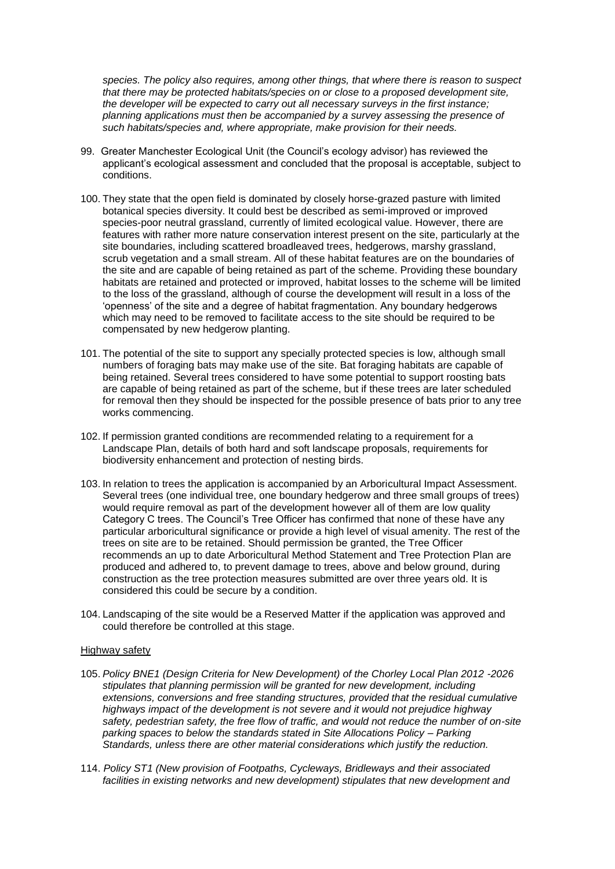*species. The policy also requires, among other things, that where there is reason to suspect that there may be protected habitats/species on or close to a proposed development site, the developer will be expected to carry out all necessary surveys in the first instance; planning applications must then be accompanied by a survey assessing the presence of such habitats/species and, where appropriate, make provision for their needs.*

- 99. Greater Manchester Ecological Unit (the Council's ecology advisor) has reviewed the applicant's ecological assessment and concluded that the proposal is acceptable, subject to conditions.
- 100. They state that the open field is dominated by closely horse-grazed pasture with limited botanical species diversity. It could best be described as semi-improved or improved species-poor neutral grassland, currently of limited ecological value. However, there are features with rather more nature conservation interest present on the site, particularly at the site boundaries, including scattered broadleaved trees, hedgerows, marshy grassland, scrub vegetation and a small stream. All of these habitat features are on the boundaries of the site and are capable of being retained as part of the scheme. Providing these boundary habitats are retained and protected or improved, habitat losses to the scheme will be limited to the loss of the grassland, although of course the development will result in a loss of the 'openness' of the site and a degree of habitat fragmentation. Any boundary hedgerows which may need to be removed to facilitate access to the site should be required to be compensated by new hedgerow planting.
- 101. The potential of the site to support any specially protected species is low, although small numbers of foraging bats may make use of the site. Bat foraging habitats are capable of being retained. Several trees considered to have some potential to support roosting bats are capable of being retained as part of the scheme, but if these trees are later scheduled for removal then they should be inspected for the possible presence of bats prior to any tree works commencing.
- 102. If permission granted conditions are recommended relating to a requirement for a Landscape Plan, details of both hard and soft landscape proposals, requirements for biodiversity enhancement and protection of nesting birds.
- 103. In relation to trees the application is accompanied by an Arboricultural Impact Assessment. Several trees (one individual tree, one boundary hedgerow and three small groups of trees) would require removal as part of the development however all of them are low quality Category C trees. The Council's Tree Officer has confirmed that none of these have any particular arboricultural significance or provide a high level of visual amenity. The rest of the trees on site are to be retained. Should permission be granted, the Tree Officer recommends an up to date Arboricultural Method Statement and Tree Protection Plan are produced and adhered to, to prevent damage to trees, above and below ground, during construction as the tree protection measures submitted are over three years old. It is considered this could be secure by a condition.
- 104. Landscaping of the site would be a Reserved Matter if the application was approved and could therefore be controlled at this stage.

### Highway safety

- 105. *Policy BNE1 (Design Criteria for New Development) of the Chorley Local Plan 2012 -2026 stipulates that planning permission will be granted for new development, including extensions, conversions and free standing structures, provided that the residual cumulative highways impact of the development is not severe and it would not prejudice highway safety, pedestrian safety, the free flow of traffic, and would not reduce the number of on-site parking spaces to below the standards stated in Site Allocations Policy – Parking Standards, unless there are other material considerations which justify the reduction.*
- 114. *Policy ST1 (New provision of Footpaths, Cycleways, Bridleways and their associated facilities in existing networks and new development) stipulates that new development and*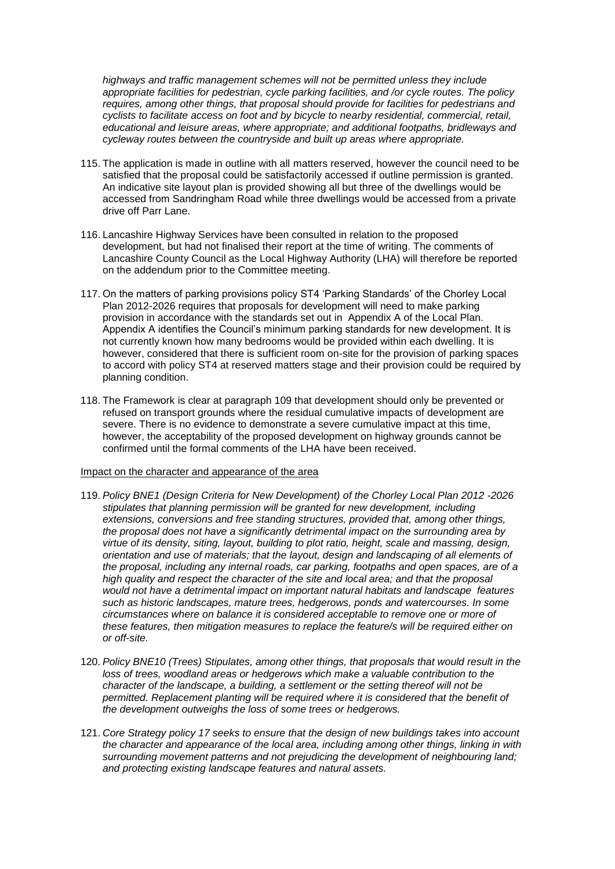*highways and traffic management schemes will not be permitted unless they include appropriate facilities for pedestrian, cycle parking facilities, and /or cycle routes. The policy requires, among other things, that proposal should provide for facilities for pedestrians and cyclists to facilitate access on foot and by bicycle to nearby residential, commercial, retail, educational and leisure areas, where appropriate; and additional footpaths, bridleways and cycleway routes between the countryside and built up areas where appropriate.*

- 115. The application is made in outline with all matters reserved, however the council need to be satisfied that the proposal could be satisfactorily accessed if outline permission is granted. An indicative site layout plan is provided showing all but three of the dwellings would be accessed from Sandringham Road while three dwellings would be accessed from a private drive off Parr Lane.
- 116. Lancashire Highway Services have been consulted in relation to the proposed development, but had not finalised their report at the time of writing. The comments of Lancashire County Council as the Local Highway Authority (LHA) will therefore be reported on the addendum prior to the Committee meeting.
- 117. On the matters of parking provisions policy ST4 'Parking Standards' of the Chorley Local Plan 2012-2026 requires that proposals for development will need to make parking provision in accordance with the standards set out in Appendix A of the Local Plan. Appendix A identifies the Council's minimum parking standards for new development. It is not currently known how many bedrooms would be provided within each dwelling. It is however, considered that there is sufficient room on-site for the provision of parking spaces to accord with policy ST4 at reserved matters stage and their provision could be required by planning condition.
- 118. The Framework is clear at paragraph 109 that development should only be prevented or refused on transport grounds where the residual cumulative impacts of development are severe. There is no evidence to demonstrate a severe cumulative impact at this time, however, the acceptability of the proposed development on highway grounds cannot be confirmed until the formal comments of the LHA have been received.

#### Impact on the character and appearance of the area

- 119. *Policy BNE1 (Design Criteria for New Development) of the Chorley Local Plan 2012 -2026 stipulates that planning permission will be granted for new development, including extensions, conversions and free standing structures, provided that, among other things, the proposal does not have a significantly detrimental impact on the surrounding area by virtue of its density, siting, layout, building to plot ratio, height, scale and massing, design, orientation and use of materials; that the layout, design and landscaping of all elements of the proposal, including any internal roads, car parking, footpaths and open spaces, are of a high quality and respect the character of the site and local area; and that the proposal would not have a detrimental impact on important natural habitats and landscape features such as historic landscapes, mature trees, hedgerows, ponds and watercourses. In some circumstances where on balance it is considered acceptable to remove one or more of these features, then mitigation measures to replace the feature/s will be required either on or off-site.*
- 120. *Policy BNE10 (Trees) Stipulates, among other things, that proposals that would result in the loss of trees, woodland areas or hedgerows which make a valuable contribution to the character of the landscape, a building, a settlement or the setting thereof will not be*  permitted. Replacement planting will be required where it is considered that the benefit of *the development outweighs the loss of some trees or hedgerows.*
- 121. *Core Strategy policy 17 seeks to ensure that the design of new buildings takes into account the character and appearance of the local area, including among other things, linking in with surrounding movement patterns and not prejudicing the development of neighbouring land; and protecting existing landscape features and natural assets.*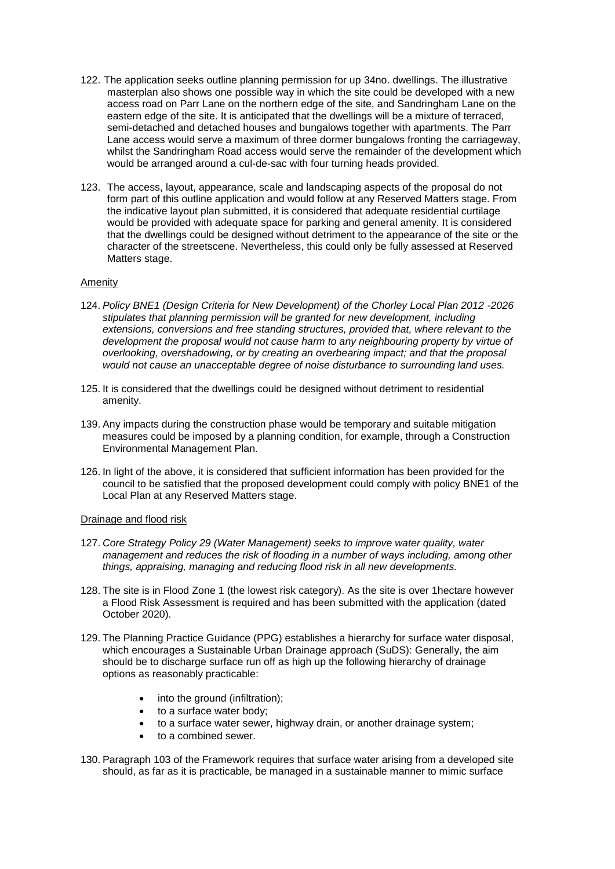- 122. The application seeks outline planning permission for up 34no. dwellings. The illustrative masterplan also shows one possible way in which the site could be developed with a new access road on Parr Lane on the northern edge of the site, and Sandringham Lane on the eastern edge of the site. It is anticipated that the dwellings will be a mixture of terraced, semi-detached and detached houses and bungalows together with apartments. The Parr Lane access would serve a maximum of three dormer bungalows fronting the carriageway, whilst the Sandringham Road access would serve the remainder of the development which would be arranged around a cul-de-sac with four turning heads provided.
- 123. The access, layout, appearance, scale and landscaping aspects of the proposal do not form part of this outline application and would follow at any Reserved Matters stage. From the indicative layout plan submitted, it is considered that adequate residential curtilage would be provided with adequate space for parking and general amenity. It is considered that the dwellings could be designed without detriment to the appearance of the site or the character of the streetscene. Nevertheless, this could only be fully assessed at Reserved Matters stage.

### Amenity

- 124. *Policy BNE1 (Design Criteria for New Development) of the Chorley Local Plan 2012 -2026 stipulates that planning permission will be granted for new development, including extensions, conversions and free standing structures, provided that, where relevant to the development the proposal would not cause harm to any neighbouring property by virtue of overlooking, overshadowing, or by creating an overbearing impact; and that the proposal would not cause an unacceptable degree of noise disturbance to surrounding land uses.*
- 125. It is considered that the dwellings could be designed without detriment to residential amenity.
- 139. Any impacts during the construction phase would be temporary and suitable mitigation measures could be imposed by a planning condition, for example, through a Construction Environmental Management Plan.
- 126. In light of the above, it is considered that sufficient information has been provided for the council to be satisfied that the proposed development could comply with policy BNE1 of the Local Plan at any Reserved Matters stage.

### Drainage and flood risk

- 127. *Core Strategy Policy 29 (Water Management) seeks to improve water quality, water management and reduces the risk of flooding in a number of ways including, among other things, appraising, managing and reducing flood risk in all new developments.*
- 128. The site is in Flood Zone 1 (the lowest risk category). As the site is over 1hectare however a Flood Risk Assessment is required and has been submitted with the application (dated October 2020).
- 129. The Planning Practice Guidance (PPG) establishes a hierarchy for surface water disposal, which encourages a Sustainable Urban Drainage approach (SuDS): Generally, the aim should be to discharge surface run off as high up the following hierarchy of drainage options as reasonably practicable:
	- into the ground (infiltration);
	- to a surface water body;
	- to a surface water sewer, highway drain, or another drainage system;
	- to a combined sewer.
- 130. Paragraph 103 of the Framework requires that surface water arising from a developed site should, as far as it is practicable, be managed in a sustainable manner to mimic surface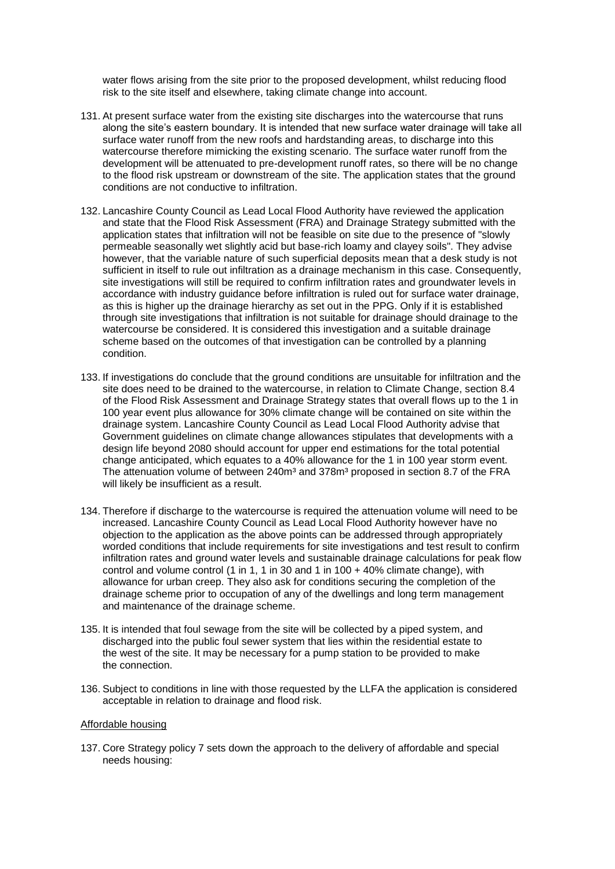water flows arising from the site prior to the proposed development, whilst reducing flood risk to the site itself and elsewhere, taking climate change into account.

- 131. At present surface water from the existing site discharges into the watercourse that runs along the site's eastern boundary. It is intended that new surface water drainage will take all surface water runoff from the new roofs and hardstanding areas, to discharge into this watercourse therefore mimicking the existing scenario. The surface water runoff from the development will be attenuated to pre-development runoff rates, so there will be no change to the flood risk upstream or downstream of the site. The application states that the ground conditions are not conductive to infiltration.
- 132. Lancashire County Council as Lead Local Flood Authority have reviewed the application and state that the Flood Risk Assessment (FRA) and Drainage Strategy submitted with the application states that infiltration will not be feasible on site due to the presence of "slowly permeable seasonally wet slightly acid but base-rich loamy and clayey soils". They advise however, that the variable nature of such superficial deposits mean that a desk study is not sufficient in itself to rule out infiltration as a drainage mechanism in this case. Consequently, site investigations will still be required to confirm infiltration rates and groundwater levels in accordance with industry guidance before infiltration is ruled out for surface water drainage, as this is higher up the drainage hierarchy as set out in the PPG. Only if it is established through site investigations that infiltration is not suitable for drainage should drainage to the watercourse be considered. It is considered this investigation and a suitable drainage scheme based on the outcomes of that investigation can be controlled by a planning condition.
- 133. If investigations do conclude that the ground conditions are unsuitable for infiltration and the site does need to be drained to the watercourse, in relation to Climate Change, section 8.4 of the Flood Risk Assessment and Drainage Strategy states that overall flows up to the 1 in 100 year event plus allowance for 30% climate change will be contained on site within the drainage system. Lancashire County Council as Lead Local Flood Authority advise that Government guidelines on climate change allowances stipulates that developments with a design life beyond 2080 should account for upper end estimations for the total potential change anticipated, which equates to a 40% allowance for the 1 in 100 year storm event. The attenuation volume of between 240m<sup>3</sup> and 378m<sup>3</sup> proposed in section 8.7 of the FRA will likely be insufficient as a result.
- 134. Therefore if discharge to the watercourse is required the attenuation volume will need to be increased. Lancashire County Council as Lead Local Flood Authority however have no objection to the application as the above points can be addressed through appropriately worded conditions that include requirements for site investigations and test result to confirm infiltration rates and ground water levels and sustainable drainage calculations for peak flow control and volume control (1 in 1, 1 in 30 and 1 in 100 + 40% climate change), with allowance for urban creep. They also ask for conditions securing the completion of the drainage scheme prior to occupation of any of the dwellings and long term management and maintenance of the drainage scheme.
- 135. It is intended that foul sewage from the site will be collected by a piped system, and discharged into the public foul sewer system that lies within the residential estate to the west of the site. It may be necessary for a pump station to be provided to make the connection.
- 136. Subject to conditions in line with those requested by the LLFA the application is considered acceptable in relation to drainage and flood risk.

### Affordable housing

137. Core Strategy policy 7 sets down the approach to the delivery of affordable and special needs housing: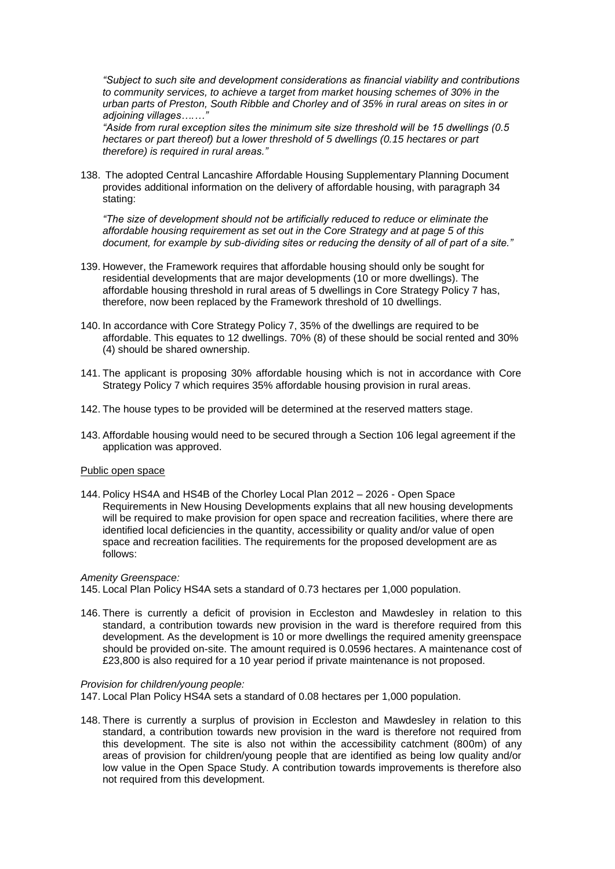*"Subject to such site and development considerations as financial viability and contributions to community services, to achieve a target from market housing schemes of 30% in the urban parts of Preston, South Ribble and Chorley and of 35% in rural areas on sites in or adjoining villages….…"*

*"Aside from rural exception sites the minimum site size threshold will be 15 dwellings (0.5 hectares or part thereof) but a lower threshold of 5 dwellings (0.15 hectares or part therefore) is required in rural areas."*

138. The adopted Central Lancashire Affordable Housing Supplementary Planning Document provides additional information on the delivery of affordable housing, with paragraph 34 stating:

*"The size of development should not be artificially reduced to reduce or eliminate the affordable housing requirement as set out in the Core Strategy and at page 5 of this document, for example by sub-dividing sites or reducing the density of all of part of a site."*

- 139. However, the Framework requires that affordable housing should only be sought for residential developments that are major developments (10 or more dwellings). The affordable housing threshold in rural areas of 5 dwellings in Core Strategy Policy 7 has, therefore, now been replaced by the Framework threshold of 10 dwellings.
- 140. In accordance with Core Strategy Policy 7, 35% of the dwellings are required to be affordable. This equates to 12 dwellings. 70% (8) of these should be social rented and 30% (4) should be shared ownership.
- 141. The applicant is proposing 30% affordable housing which is not in accordance with Core Strategy Policy 7 which requires 35% affordable housing provision in rural areas.
- 142. The house types to be provided will be determined at the reserved matters stage.
- 143. Affordable housing would need to be secured through a Section 106 legal agreement if the application was approved.

### Public open space

144. Policy HS4A and HS4B of the Chorley Local Plan 2012 – 2026 - Open Space Requirements in New Housing Developments explains that all new housing developments will be required to make provision for open space and recreation facilities, where there are identified local deficiencies in the quantity, accessibility or quality and/or value of open space and recreation facilities. The requirements for the proposed development are as follows:

#### *Amenity Greenspace:*

145. Local Plan Policy HS4A sets a standard of 0.73 hectares per 1,000 population.

146. There is currently a deficit of provision in Eccleston and Mawdesley in relation to this standard, a contribution towards new provision in the ward is therefore required from this development. As the development is 10 or more dwellings the required amenity greenspace should be provided on-site. The amount required is 0.0596 hectares. A maintenance cost of £23,800 is also required for a 10 year period if private maintenance is not proposed.

#### *Provision for children/young people:*

147. Local Plan Policy HS4A sets a standard of 0.08 hectares per 1,000 population.

148. There is currently a surplus of provision in Eccleston and Mawdesley in relation to this standard, a contribution towards new provision in the ward is therefore not required from this development. The site is also not within the accessibility catchment (800m) of any areas of provision for children/young people that are identified as being low quality and/or low value in the Open Space Study. A contribution towards improvements is therefore also not required from this development.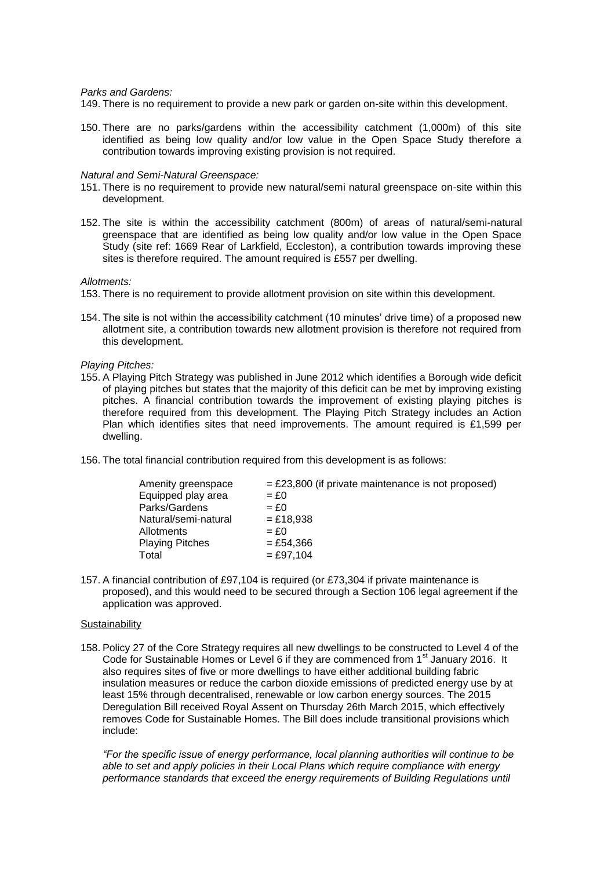#### *Parks and Gardens:*

149. There is no requirement to provide a new park or garden on-site within this development.

150. There are no parks/gardens within the accessibility catchment (1,000m) of this site identified as being low quality and/or low value in the Open Space Study therefore a contribution towards improving existing provision is not required.

#### *Natural and Semi-Natural Greenspace:*

- 151. There is no requirement to provide new natural/semi natural greenspace on-site within this development.
- 152. The site is within the accessibility catchment (800m) of areas of natural/semi-natural greenspace that are identified as being low quality and/or low value in the Open Space Study (site ref: 1669 Rear of Larkfield, Eccleston), a contribution towards improving these sites is therefore required. The amount required is £557 per dwelling.

#### *Allotments:*

- 153. There is no requirement to provide allotment provision on site within this development.
- 154. The site is not within the accessibility catchment (10 minutes' drive time) of a proposed new allotment site, a contribution towards new allotment provision is therefore not required from this development.

#### *Playing Pitches:*

- 155. A Playing Pitch Strategy was published in June 2012 which identifies a Borough wide deficit of playing pitches but states that the majority of this deficit can be met by improving existing pitches. A financial contribution towards the improvement of existing playing pitches is therefore required from this development. The Playing Pitch Strategy includes an Action Plan which identifies sites that need improvements. The amount required is £1,599 per dwelling.
- 156. The total financial contribution required from this development is as follows:

| Amenity greenspace     | $=$ £23,800 (if private maintenance is not proposed) |
|------------------------|------------------------------------------------------|
| Equipped play area     | $=$ £0                                               |
| Parks/Gardens          | $=$ £0                                               |
| Natural/semi-natural   | $= £18,938$                                          |
| Allotments             | $=$ £0                                               |
| <b>Playing Pitches</b> | $=$ £54.366                                          |
| Total                  | $=$ £97.104                                          |
|                        |                                                      |

157. A financial contribution of £97,104 is required (or £73,304 if private maintenance is proposed), and this would need to be secured through a Section 106 legal agreement if the application was approved.

#### **Sustainability**

158. Policy 27 of the Core Strategy requires all new dwellings to be constructed to Level 4 of the Code for Sustainable Homes or Level 6 if they are commenced from 1<sup>st</sup> January 2016. It also requires sites of five or more dwellings to have either additional building fabric insulation measures or reduce the carbon dioxide emissions of predicted energy use by at least 15% through decentralised, renewable or low carbon energy sources. The 2015 Deregulation Bill received Royal Assent on Thursday 26th March 2015, which effectively removes Code for Sustainable Homes. The Bill does include transitional provisions which include:

*"For the specific issue of energy performance, local planning authorities will continue to be able to set and apply policies in their Local Plans which require compliance with energy performance standards that exceed the energy requirements of Building Regulations until*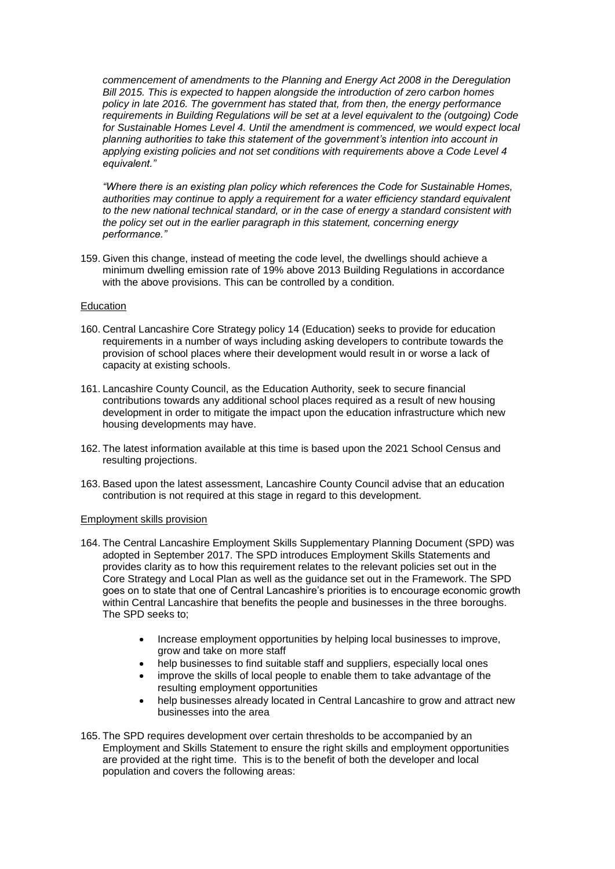*commencement of amendments to the [Planning and Energy Act 2008](http://www.legislation.gov.uk/ukpga/2008/21/contents) in the Deregulation Bill 2015. This is expected to happen alongside the introduction of zero carbon homes policy in late 2016. The government has stated that, from then, the energy performance requirements in Building Regulations will be set at a level equivalent to the (outgoing) Code for Sustainable Homes Level 4. Until the amendment is commenced, we would expect local planning authorities to take this statement of the government's intention into account in applying existing policies and not set conditions with requirements above a Code Level 4 equivalent."*

*"Where there is an existing plan policy which references the Code for Sustainable Homes, authorities may continue to apply a requirement for a water efficiency standard equivalent to the new national technical standard, or in the case of energy a standard consistent with the policy set out in the earlier paragraph in this statement, concerning energy performance."*

159. Given this change, instead of meeting the code level, the dwellings should achieve a minimum dwelling emission rate of 19% above 2013 Building Regulations in accordance with the above provisions. This can be controlled by a condition.

### Education

- 160. Central Lancashire Core Strategy policy 14 (Education) seeks to provide for education requirements in a number of ways including asking developers to contribute towards the provision of school places where their development would result in or worse a lack of capacity at existing schools.
- 161. Lancashire County Council, as the Education Authority, seek to secure financial contributions towards any additional school places required as a result of new housing development in order to mitigate the impact upon the education infrastructure which new housing developments may have.
- 162. The latest information available at this time is based upon the 2021 School Census and resulting projections.
- 163. Based upon the latest assessment, Lancashire County Council advise that an education contribution is not required at this stage in regard to this development.

### Employment skills provision

- 164. The Central Lancashire Employment Skills Supplementary Planning Document (SPD) was adopted in September 2017. The SPD introduces Employment Skills Statements and provides clarity as to how this requirement relates to the relevant policies set out in the Core Strategy and Local Plan as well as the guidance set out in the Framework. The SPD goes on to state that one of Central Lancashire's priorities is to encourage economic growth within Central Lancashire that benefits the people and businesses in the three boroughs. The SPD seeks to;
	- Increase employment opportunities by helping local businesses to improve, grow and take on more staff
	- help businesses to find suitable staff and suppliers, especially local ones
	- improve the skills of local people to enable them to take advantage of the resulting employment opportunities
	- help businesses already located in Central Lancashire to grow and attract new businesses into the area
- 165. The SPD requires development over certain thresholds to be accompanied by an Employment and Skills Statement to ensure the right skills and employment opportunities are provided at the right time. This is to the benefit of both the developer and local population and covers the following areas: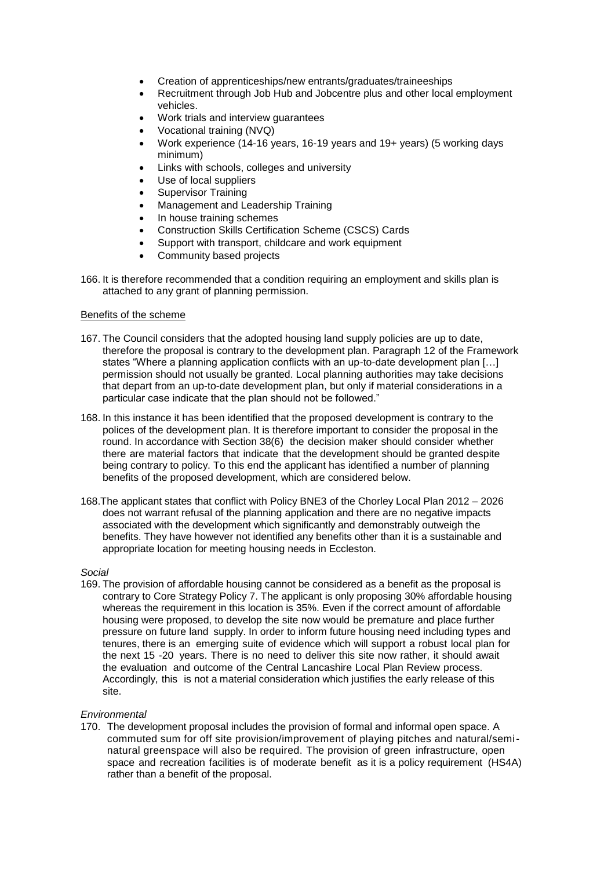- Creation of apprenticeships/new entrants/graduates/traineeships
- Recruitment through Job Hub and Jobcentre plus and other local employment vehicles.
- Work trials and interview guarantees
- Vocational training (NVQ)
- Work experience (14-16 years, 16-19 years and 19+ years) (5 working days minimum)
- Links with schools, colleges and university
- Use of local suppliers
- Supervisor Training
- Management and Leadership Training
- In house training schemes
- Construction Skills Certification Scheme (CSCS) Cards
- Support with transport, childcare and work equipment
- Community based projects
- 166. It is therefore recommended that a condition requiring an employment and skills plan is attached to any grant of planning permission.

### Benefits of the scheme

- 167. The Council considers that the adopted housing land supply policies are up to date, therefore the proposal is contrary to the development plan. Paragraph 12 of the Framework states "Where a planning application conflicts with an up-to-date development plan […] permission should not usually be granted. Local planning authorities may take decisions that depart from an up-to-date development plan, but only if material considerations in a particular case indicate that the plan should not be followed."
- 168. In this instance it has been identified that the proposed development is contrary to the polices of the development plan. It is therefore important to consider the proposal in the round. In accordance with Section 38(6) the decision maker should consider whether there are material factors that indicate that the development should be granted despite being contrary to policy. To this end the applicant has identified a number of planning benefits of the proposed development, which are considered below.
- 168.The applicant states that conflict with Policy BNE3 of the Chorley Local Plan 2012 2026 does not warrant refusal of the planning application and there are no negative impacts associated with the development which significantly and demonstrably outweigh the benefits. They have however not identified any benefits other than it is a sustainable and appropriate location for meeting housing needs in Eccleston.

### *Social*

169. The provision of affordable housing cannot be considered as a benefit as the proposal is contrary to Core Strategy Policy 7. The applicant is only proposing 30% affordable housing whereas the requirement in this location is 35%. Even if the correct amount of affordable housing were proposed, to develop the site now would be premature and place further pressure on future land supply. In order to inform future housing need including types and tenures, there is an emerging suite of evidence which will support a robust local plan for the next 15 -20 years. There is no need to deliver this site now rather, it should await the evaluation and outcome of the Central Lancashire Local Plan Review process. Accordingly, this is not a material consideration which justifies the early release of this site.

### *Environmental*

170. The development proposal includes the provision of formal and informal open space. A commuted sum for off site provision/improvement of playing pitches and natural/seminatural greenspace will also be required. The provision of green infrastructure, open space and recreation facilities is of moderate benefit as it is a policy requirement (HS4A) rather than a benefit of the proposal.